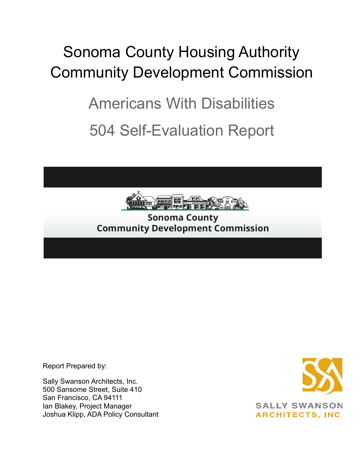# Sonoma County Housing Authority Community Development Commission

# Americans With Disabilities

# 504 Self-Evaluation Report



Report Prepared by:

Sally Swanson Architects, Inc. 500 Sansome Street, Suite 410 San Francisco, CA 94111 Ian Blakey, Project Manager Joshua Klipp, ADA Policy Consultant

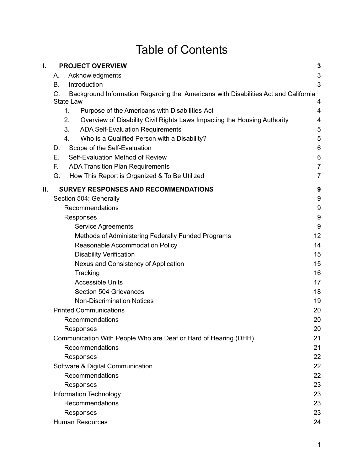# Table of Contents

| I. | <b>PROJECT OVERVIEW</b>                                                                   | 3              |  |
|----|-------------------------------------------------------------------------------------------|----------------|--|
|    | Acknowledgments<br>А.                                                                     | 3              |  |
|    | Introduction<br>B.                                                                        | 3              |  |
|    | Background Information Regarding the Americans with Disabilities Act and California<br>C. |                |  |
|    | <b>State Law</b>                                                                          | 4              |  |
|    | 1.<br>Purpose of the Americans with Disabilities Act                                      | 4              |  |
|    | 2.<br>Overview of Disability Civil Rights Laws Impacting the Housing Authority            | 4              |  |
|    | <b>ADA Self-Evaluation Requirements</b><br>3.                                             | 5              |  |
|    | Who is a Qualified Person with a Disability?<br>4.                                        | 5              |  |
|    | Scope of the Self-Evaluation<br>D.                                                        | 6              |  |
|    | Е.<br>Self-Evaluation Method of Review                                                    | 6              |  |
|    | F.<br><b>ADA Transition Plan Requirements</b>                                             | $\overline{7}$ |  |
|    | G.<br>How This Report is Organized & To Be Utilized                                       | $\overline{7}$ |  |
| Ш. | <b>SURVEY RESPONSES AND RECOMMENDATIONS</b>                                               | 9              |  |
|    | Section 504: Generally                                                                    | 9              |  |
|    | Recommendations                                                                           | 9              |  |
|    | Responses                                                                                 | 9              |  |
|    | <b>Service Agreements</b>                                                                 | 9              |  |
|    | Methods of Administering Federally Funded Programs                                        | 12             |  |
|    | Reasonable Accommodation Policy                                                           | 14             |  |
|    | <b>Disability Verification</b>                                                            | 15             |  |
|    | Nexus and Consistency of Application                                                      | 15             |  |
|    | Tracking                                                                                  | 16             |  |
|    | <b>Accessible Units</b>                                                                   | 17             |  |
|    | Section 504 Grievances                                                                    | 18             |  |
|    | <b>Non-Discrimination Notices</b>                                                         | 19             |  |
|    | <b>Printed Communications</b>                                                             | 20             |  |
|    | Recommendations                                                                           | 20             |  |
|    | Responses                                                                                 | 20             |  |
|    | Communication With People Who are Deaf or Hard of Hearing (DHH)                           | 21             |  |
|    | Recommendations                                                                           | 21             |  |
|    | Responses                                                                                 | 22             |  |
|    | Software & Digital Communication                                                          | 22             |  |
|    | Recommendations                                                                           | 22             |  |
|    | Responses                                                                                 | 23             |  |
|    | Information Technology                                                                    | 23             |  |
|    | Recommendations                                                                           | 23             |  |
|    | Responses                                                                                 | 23             |  |
|    | <b>Human Resources</b>                                                                    | 24             |  |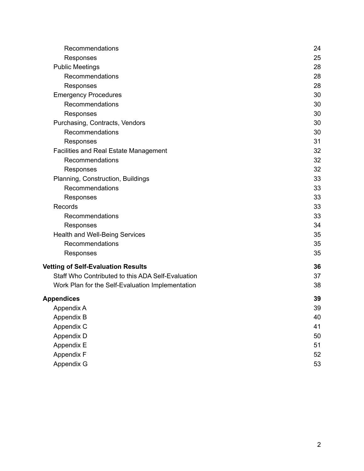| Recommendations                                   | 24 |
|---------------------------------------------------|----|
| Responses                                         | 25 |
| <b>Public Meetings</b>                            | 28 |
| Recommendations                                   | 28 |
| Responses                                         | 28 |
| <b>Emergency Procedures</b>                       | 30 |
| Recommendations                                   | 30 |
| Responses                                         | 30 |
| Purchasing, Contracts, Vendors                    | 30 |
| Recommendations                                   | 30 |
| Responses                                         | 31 |
| <b>Facilities and Real Estate Management</b>      | 32 |
| Recommendations                                   | 32 |
| Responses                                         | 32 |
| Planning, Construction, Buildings                 | 33 |
| Recommendations                                   | 33 |
| Responses                                         | 33 |
| Records                                           | 33 |
| Recommendations                                   | 33 |
| Responses                                         | 34 |
| Health and Well-Being Services                    | 35 |
| Recommendations                                   | 35 |
| Responses                                         | 35 |
| <b>Vetting of Self-Evaluation Results</b>         | 36 |
| Staff Who Contributed to this ADA Self-Evaluation | 37 |
| Work Plan for the Self-Evaluation Implementation  | 38 |
| <b>Appendices</b>                                 | 39 |
| Appendix A                                        | 39 |
| Appendix B                                        | 40 |
| Appendix C                                        | 41 |
| Appendix D                                        | 50 |
| Appendix E                                        | 51 |
| Appendix F                                        | 52 |
| Appendix G                                        | 53 |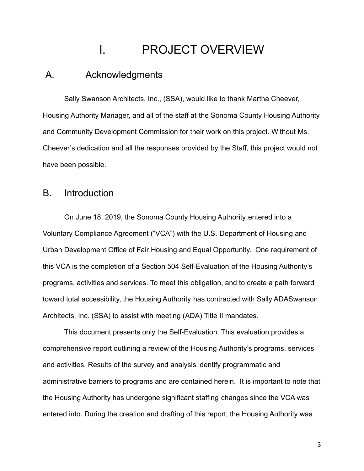# I. PROJECT OVERVIEW

#### <span id="page-3-1"></span><span id="page-3-0"></span>A. Acknowledgments

Sally Swanson Architects, Inc., (SSA), would like to thank Martha Cheever, Housing Authority Manager, and all of the staff at the Sonoma County Housing Authority and Community Development Commission for their work on this project. Without Ms. Cheever's dedication and all the responses provided by the Staff, this project would not have been possible.

#### <span id="page-3-2"></span>B. Introduction

On June 18, 2019, the Sonoma County Housing Authority entered into a Voluntary Compliance Agreement ("VCA") with the U.S. Department of Housing and Urban Development Office of Fair Housing and Equal Opportunity. One requirement of this VCA is the completion of a Section 504 Self-Evaluation of the Housing Authority's programs, activities and services. To meet this obligation, and to create a path forward toward total accessibility, the Housing Authority has contracted with Sally ADASwanson Architects, Inc. (SSA) to assist with meeting (ADA) Title II mandates.

This document presents only the Self-Evaluation. This evaluation provides a comprehensive report outlining a review of the Housing Authority's programs, services and activities. Results of the survey and analysis identify programmatic and administrative barriers to programs and are contained herein. It is important to note that the Housing Authority has undergone significant staffing changes since the VCA was entered into. During the creation and drafting of this report, the Housing Authority was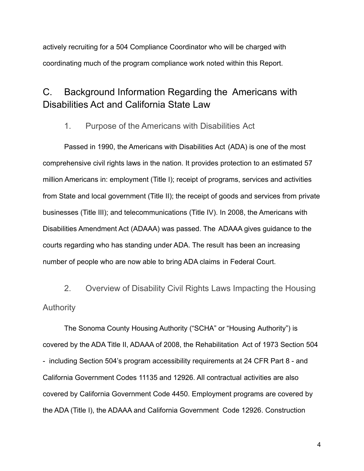actively recruiting for a 504 Compliance Coordinator who will be charged with coordinating much of the program compliance work noted within this Report.

# <span id="page-4-0"></span> C. Background Information Regarding the Americans with Disabilities Act and California State Law

#### <span id="page-4-1"></span>1. Purpose of the Americans with Disabilities Act

Passed in 1990, the Americans with Disabilities Act (ADA) is one of the most comprehensive civil rights laws in the nation. It provides protection to an estimated 57 million Americans in: employment (Title I); receipt of programs, services and activities from State and local government (Title II); the receipt of goods and services from private businesses (Title III); and telecommunications (Title IV). In 2008, the Americans with Disabilities Amendment Act (ADAAA) was passed. The ADAAA gives guidance to the courts regarding who has standing under ADA. The result has been an increasing number of people who are now able to bring ADA claims in Federal Court.

<span id="page-4-2"></span> 2. Overview of Disability Civil Rights Laws Impacting the Housing **Authority** 

The Sonoma County Housing Authority ("SCHA" or "Housing Authority") is covered by the ADA Title II, ADAAA of 2008, the Rehabilitation Act of 1973 Section 504 - including Section 504's program accessibility requirements at 24 CFR Part 8 - and California Government Codes 11135 and 12926. All contractual activities are also covered by California Government Code 4450. Employment programs are covered by the ADA (Title I), the ADAAA and California Government Code 12926. Construction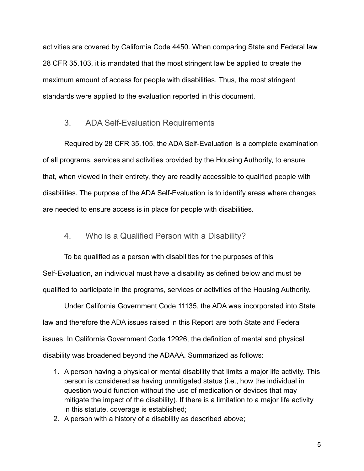activities are covered by California Code 4450. When comparing State and Federal law 28 CFR 35.103, it is mandated that the most stringent law be applied to create the maximum amount of access for people with disabilities. Thus, the most stringent standards were applied to the evaluation reported in this document.

#### <span id="page-5-0"></span>3. ADA Self-Evaluation Requirements

Required by 28 CFR 35.105, the ADA Self-Evaluation is a complete examination of all programs, services and activities provided by the Housing Authority, to ensure that, when viewed in their entirety, they are readily accessible to qualified people with disabilities. The purpose of the ADA Self-Evaluation is to identify areas where changes are needed to ensure access is in place for people with disabilities.

#### <span id="page-5-1"></span>4. Who is a Qualified Person with a Disability?

To be qualified as a person with disabilities for the purposes of this Self-Evaluation, an individual must have a disability as defined below and must be qualified to participate in the programs, services or activities of the Housing Authority.

Under California Government Code 11135, the ADA was incorporated into State law and therefore the ADA issues raised in this Report are both State and Federal issues. In California Government Code 12926, the definition of mental and physical disability was broadened beyond the ADAAA. Summarized as follows:

- 1. A person having a physical or mental disability that limits a major life activity. This person is considered as having unmitigated status (i.e., how the individual in question would function without the use of medication or devices that may mitigate the impact of the disability). If there is a limitation to a major life activity in this statute, coverage is established;
- 2. A person with a history of a disability as described above;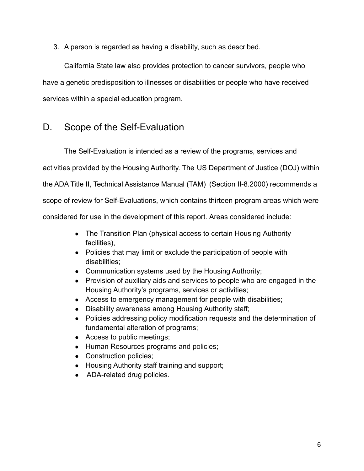3. A person is regarded as having a disability, such as described.

California State law also provides protection to cancer survivors, people who have a genetic predisposition to illnesses or disabilities or people who have received services within a special education program.

# <span id="page-6-0"></span>D. Scope of the Self-Evaluation

The Self-Evaluation is intended as a review of the programs, services and activities provided by the Housing Authority. The US Department of Justice (DOJ) within the ADA Title II, Technical Assistance Manual (TAM) (Section II-8.2000) recommends a scope of review for Self-Evaluations, which contains thirteen program areas which were considered for use in the development of this report. Areas considered include:

- The Transition Plan (physical access to certain Housing Authority facilities),
- Policies that may limit or exclude the participation of people with disabilities;
- Communication systems used by the Housing Authority;
- Provision of auxiliary aids and services to people who are engaged in the Housing Authority's programs, services or activities;
- Access to emergency management for people with disabilities;
- Disability awareness among Housing Authority staff;
- Policies addressing policy modification requests and the determination of fundamental alteration of programs;
- Access to public meetings;
- Human Resources programs and policies;
- Construction policies;
- Housing Authority staff training and support;
- ADA-related drug policies.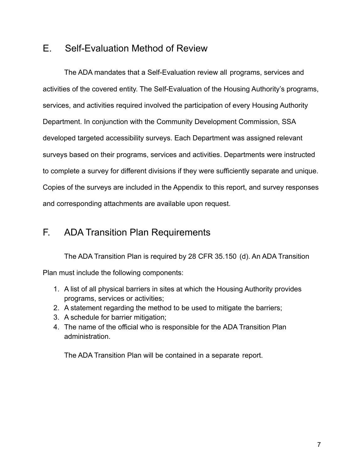#### <span id="page-7-0"></span>Е. Self-Evaluation Method of Review

The ADA mandates that a Self-Evaluation review all programs, services and activities of the covered entity. The Self-Evaluation of the Housing Authority's programs, services, and activities required involved the participation of every Housing Authority Department. In conjunction with the Community Development Commission, SSA developed targeted accessibility surveys. Each Department was assigned relevant surveys based on their programs, services and activities. Departments were instructed to complete a survey for different divisions if they were sufficiently separate and unique. Copies of the surveys are included in the Appendix to this report, and survey responses and corresponding attachments are available upon request.

## <span id="page-7-1"></span>F. ADA Transition Plan Requirements

The ADA Transition Plan is required by 28 CFR 35.150 (d). An ADA Transition Plan must include the following components:

- 1. A list of all physical barriers in sites at which the Housing Authority provides programs, services or activities;
- 2. A statement regarding the method to be used to mitigate the barriers;
- 3. A schedule for barrier mitigation;
- 4. The name of the official who is responsible for the ADA Transition Plan administration.

The ADA Transition Plan will be contained in a separate report.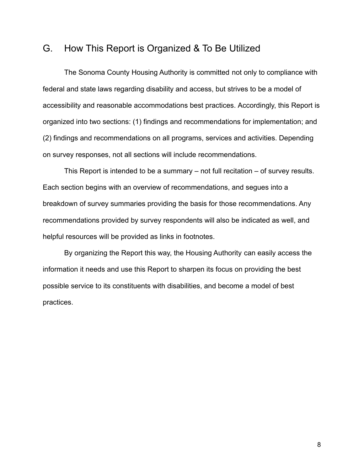### <span id="page-8-0"></span>G. How This Report is Organized & To Be Utilized

The Sonoma County Housing Authority is committed not only to compliance with federal and state laws regarding disability and access, but strives to be a model of accessibility and reasonable accommodations best practices. Accordingly, this Report is organized into two sections: (1) findings and recommendations for implementation; and (2) findings and recommendations on all programs, services and activities. Depending on survey responses, not all sections will include recommendations.

This Report is intended to be a summary – not full recitation – of survey results. Each section begins with an overview of recommendations, and segues into a breakdown of survey summaries providing the basis for those recommendations. Any recommendations provided by survey respondents will also be indicated as well, and helpful resources will be provided as links in footnotes.

By organizing the Report this way, the Housing Authority can easily access the information it needs and use this Report to sharpen its focus on providing the best possible service to its constituents with disabilities, and become a model of best practices.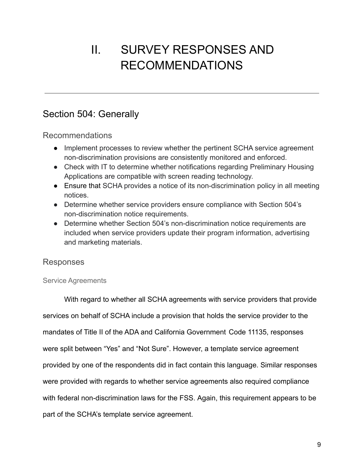## <span id="page-9-0"></span> $\mathbf{H}$ **SURVEY RESPONSES AND** RECOMMENDATIONS

## <span id="page-9-1"></span>Section 504: Generally

<span id="page-9-2"></span>Recommendations

- Implement processes to review whether the pertinent SCHA service agreement non-discrimination provisions are consistently monitored and enforced.
- Check with IT to determine whether notifications regarding Preliminary Housing Applications are compatible with screen reading technology.
- Ensure that SCHA provides a notice of its non-discrimination policy in all meeting notices.
- Determine whether service providers ensure compliance with Section 504's non-discrimination notice requirements.
- Determine whether Section 504's non-discrimination notice requirements are included when service providers update their program information, advertising and marketing materials.

#### <span id="page-9-3"></span>Responses

#### <span id="page-9-4"></span>Service Agreements

With regard to whether all SCHA agreements with service providers that provide services on behalf of SCHA include a provision that holds the service provider to the mandates of Title II of the ADA and California Government Code 11135, responses were split between "Yes" and "Not Sure". However, a template service agreement provided by one of the respondents did in fact contain this language. Similar responses were provided with regards to whether service agreements also required compliance with federal non-discrimination laws for the FSS. Again, this requirement appears to be part of the SCHA's template service agreement.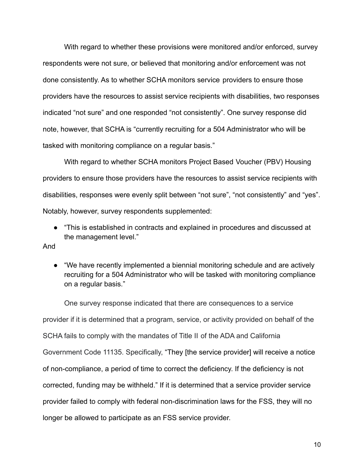With regard to whether these provisions were monitored and/or enforced, survey respondents were not sure, or believed that monitoring and/or enforcement was not done consistently. As to whether SCHA monitors service providers to ensure those providers have the resources to assist service recipients with disabilities, two responses indicated "not sure" and one responded "not consistently". One survey response did note, however, that SCHA is "currently recruiting for a 504 Administrator who will be tasked with monitoring compliance on a regular basis."

With regard to whether SCHA monitors Project Based Voucher (PBV) Housing providers to ensure those providers have the resources to assist service recipients with disabilities, responses were evenly split between "not sure", "not consistently" and "yes". Notably, however, survey respondents supplemented:

● "This is established in contracts and explained in procedures and discussed at the management level."

#### And

● "We have recently implemented a biennial monitoring schedule and are actively recruiting for a 504 Administrator who will be tasked with monitoring compliance on a regular basis."

One survey response indicated that there are consequences to a service provider if it is determined that a program, service, or activity provided on behalf of the SCHA fails to comply with the mandates of Title II of the ADA and California Government Code 11135. Specifically, "They [the service provider] will receive a notice of non-compliance, a period of time to correct the deficiency. If the deficiency is not corrected, funding may be withheld." If it is determined that a service provider service provider failed to comply with federal non-discrimination laws for the FSS, they will no longer be allowed to participate as an FSS service provider.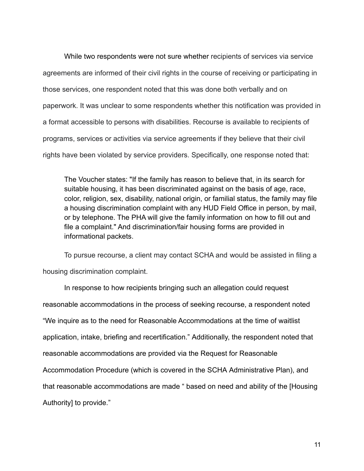While two respondents were not sure whether recipients of services via service agreements are informed of their civil rights in the course of receiving or participating in those services, one respondent noted that this was done both verbally and on paperwork. It was unclear to some respondents whether this notification was provided in a format accessible to persons with disabilities. Recourse is available to recipients of programs, services or activities via service agreements if they believe that their civil rights have been violated by service providers. Specifically, one response noted that:

The Voucher states: "If the family has reason to believe that, in its search for suitable housing, it has been discriminated against on the basis of age, race, color, religion, sex, disability, national origin, or familial status, the family may file a housing discrimination complaint with any HUD Field Office in person, by mail, or by telephone. The PHA will give the family information on how to fill out and file a complaint." And discrimination/fair housing forms are provided in informational packets.

To pursue recourse, a client may contact SCHA and would be assisted in filing a housing discrimination complaint.

In response to how recipients bringing such an allegation could request reasonable accommodations in the process of seeking recourse, a respondent noted "We inquire as to the need for Reasonable Accommodations at the time of waitlist application, intake, briefing and recertification." Additionally, the respondent noted that reasonable accommodations are provided via the Request for Reasonable Accommodation Procedure (which is covered in the SCHA Administrative Plan), and that reasonable accommodations are made " based on need and ability of the [Housing Authority] to provide."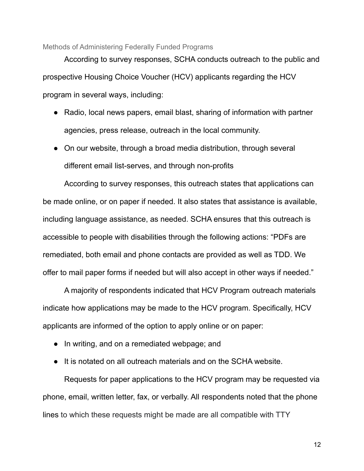#### <span id="page-12-0"></span>Methods of Administering Federally Funded Programs

 According to survey responses, SCHA conducts outreach to the public and prospective Housing Choice Voucher (HCV) applicants regarding the HCV program in several ways, including:

- ● Radio, local news papers, email blast, sharing of information with partner agencies, press release, outreach in the local community.
- ● On our website, through a broad media distribution, through several different email list-serves, and through non-profits

 According to survey responses, this outreach states that applications can be made online, or on paper if needed. It also states that assistance is available, including language assistance, as needed. SCHA ensures that this outreach is accessible to people with disabilities through the following actions: "PDFs are remediated, both email and phone contacts are provided as well as TDD. We offer to mail paper forms if needed but will also accept in other ways if needed."

 A majority of respondents indicated that HCV Program outreach materials indicate how applications may be made to the HCV program. Specifically, HCV applicants are informed of the option to apply online or on paper:

- In writing, and on a remediated webpage; and
- It is notated on all outreach materials and on the SCHA website.

 Requests for paper applications to the HCV program may be requested via phone, email, written letter, fax, or verbally. All respondents noted that the phone lines to which these requests might be made are all compatible with TTY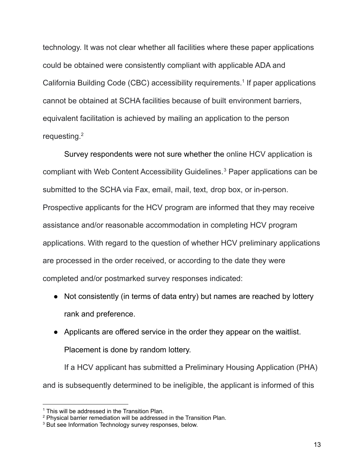technology. It was not clear whether all facilities where these paper applications could be obtained were consistently compliant with applicable ADA and California Building Code (CBC) accessibility requirements.<sup>1</sup> If paper applications cannot be obtained at SCHA facilities because of built environment barriers, equivalent facilitation is achieved by mailing an application to the person requesting.2

 Survey respondents were not sure whether the online HCV application is compliant with Web Content Accessibility Guidelines.<sup>3</sup> Paper applications can be submitted to the SCHA via Fax, email, mail, text, drop box, or in-person. Prospective applicants for the HCV program are informed that they may receive assistance and/or reasonable accommodation in completing HCV program applications. With regard to the question of whether HCV preliminary applications are processed in the order received, or according to the date they were completed and/or postmarked survey responses indicated:

- ● Not consistently (in terms of data entry) but names are reached by lottery rank and preference.
- ● Applicants are offered service in the order they appear on the waitlist. Placement is done by random lottery.

 If a HCV applicant has submitted a Preliminary Housing Application (PHA) and is subsequently determined to be ineligible, the applicant is informed of this

 $1$  This will be addressed in the Transition Plan.

 $2$  Physical barrier remediation will be addressed in the Transition Plan.

<sup>&</sup>lt;sup>3</sup> But see Information Technology survey responses, below.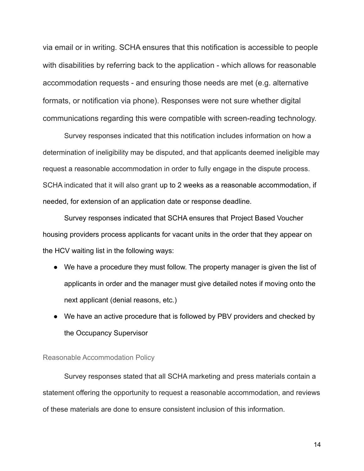via email or in writing. SCHA ensures that this notification is accessible to people with disabilities by referring back to the application - which allows for reasonable accommodation requests - and ensuring those needs are met (e.g. alternative formats, or notification via phone). Responses were not sure whether digital communications regarding this were compatible with screen-reading technology.

Survey responses indicated that this notification includes information on how a determination of ineligibility may be disputed, and that applicants deemed ineligible may request a reasonable accommodation in order to fully engage in the dispute process. SCHA indicated that it will also grant up to 2 weeks as a reasonable accommodation, if needed, for extension of an application date or response deadline.

Survey responses indicated that SCHA ensures that Project Based Voucher housing providers process applicants for vacant units in the order that they appear on the HCV waiting list in the following ways:

- We have a procedure they must follow. The property manager is given the list of applicants in order and the manager must give detailed notes if moving onto the next applicant (denial reasons, etc.)
- We have an active procedure that is followed by PBV providers and checked by the Occupancy Supervisor

#### <span id="page-14-0"></span>Reasonable Accommodation Policy

Survey responses stated that all SCHA marketing and press materials contain a statement offering the opportunity to request a reasonable accommodation, and reviews of these materials are done to ensure consistent inclusion of this information.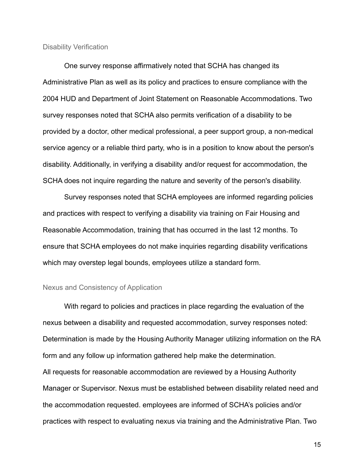<span id="page-15-0"></span>Disability Verification

One survey response affirmatively noted that SCHA has changed its Administrative Plan as well as its policy and practices to ensure compliance with the 2004 HUD and Department of Joint Statement on Reasonable Accommodations. Two survey responses noted that SCHA also permits verification of a disability to be provided by a doctor, other medical professional, a peer support group, a non-medical service agency or a reliable third party, who is in a position to know about the person's disability. Additionally, in verifying a disability and/or request for accommodation, the SCHA does not inquire regarding the nature and severity of the person's disability.

Survey responses noted that SCHA employees are informed regarding policies and practices with respect to verifying a disability via training on Fair Housing and Reasonable Accommodation, training that has occurred in the last 12 months. To ensure that SCHA employees do not make inquiries regarding disability verifications which may overstep legal bounds, employees utilize a standard form.

#### <span id="page-15-1"></span>Nexus and Consistency of Application

With regard to policies and practices in place regarding the evaluation of the nexus between a disability and requested accommodation, survey responses noted: Determination is made by the Housing Authority Manager utilizing information on the RA form and any follow up information gathered help make the determination. All requests for reasonable accommodation are reviewed by a Housing Authority Manager or Supervisor. Nexus must be established between disability related need and the accommodation requested. employees are informed of SCHA's policies and/or practices with respect to evaluating nexus via training and the Administrative Plan. Two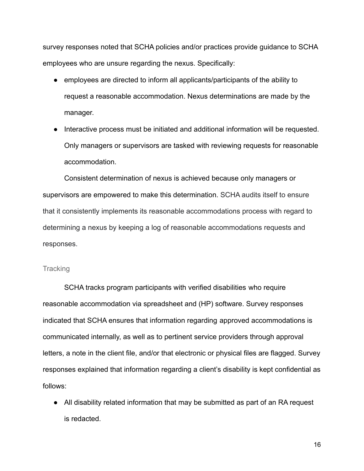survey responses noted that SCHA policies and/or practices provide guidance to SCHA employees who are unsure regarding the nexus. Specifically:

- employees are directed to inform all applicants/participants of the ability to request a reasonable accommodation. Nexus determinations are made by the manager.
- Interactive process must be initiated and additional information will be requested. Only managers or supervisors are tasked with reviewing requests for reasonable accommodation.

Consistent determination of nexus is achieved because only managers or supervisors are empowered to make this determination. SCHA audits itself to ensure that it consistently implements its reasonable accommodations process with regard to determining a nexus by keeping a log of reasonable accommodations requests and responses.

#### <span id="page-16-0"></span>**Tracking**

SCHA tracks program participants with verified disabilities who require reasonable accommodation via spreadsheet and (HP) software. Survey responses indicated that SCHA ensures that information regarding approved accommodations is communicated internally, as well as to pertinent service providers through approval letters, a note in the client file, and/or that electronic or physical files are flagged. Survey responses explained that information regarding a client's disability is kept confidential as follows:

● All disability related information that may be submitted as part of an RA request is redacted.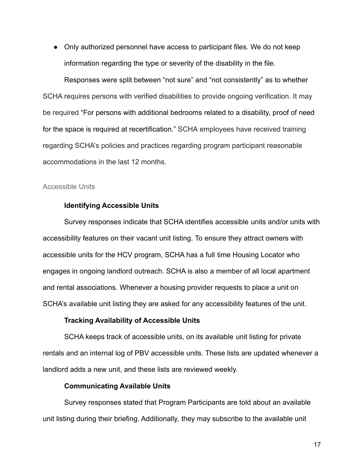● Only authorized personnel have access to participant files. We do not keep information regarding the type or severity of the disability in the file.

Responses were split between "not sure" and "not consistently" as to whether SCHA requires persons with verified disabilities to provide ongoing verification. It may be required "For persons with additional bedrooms related to a disability, proof of need for the space is required at recertification." SCHA employees have received training regarding SCHA's policies and practices regarding program participant reasonable accommodations in the last 12 months.

#### <span id="page-17-0"></span>Accessible Units

#### **Identifying Accessible Units**

Survey responses indicate that SCHA identifies accessible units and/or units with accessibility features on their vacant unit listing. To ensure they attract owners with accessible units for the HCV program, SCHA has a full time Housing Locator who engages in ongoing landlord outreach. SCHA is also a member of all local apartment and rental associations. Whenever a housing provider requests to place a unit on SCHA's available unit listing they are asked for any accessibility features of the unit.

#### **Tracking Availability of Accessible Units**

SCHA keeps track of accessible units, on its available unit listing for private rentals and an internal log of PBV accessible units. These lists are updated whenever a landlord adds a new unit, and these lists are reviewed weekly.

#### **Communicating Available Units**

Survey responses stated that Program Participants are told about an available unit listing during their briefing. Additionally, they may subscribe to the available unit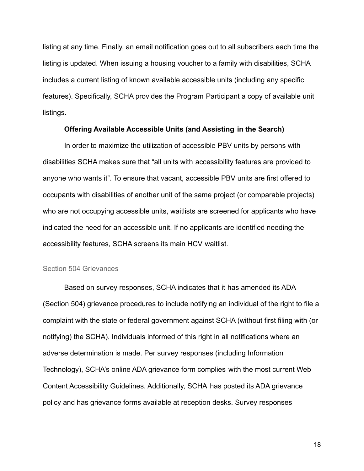listing at any time. Finally, an email notification goes out to all subscribers each time the listing is updated. When issuing a housing voucher to a family with disabilities, SCHA includes a current listing of known available accessible units (including any specific features). Specifically, SCHA provides the Program Participant a copy of available unit listings.

#### **Offering Available Accessible Units (and Assisting in the Search)**

In order to maximize the utilization of accessible PBV units by persons with disabilities SCHA makes sure that "all units with accessibility features are provided to anyone who wants it". To ensure that vacant, accessible PBV units are first offered to occupants with disabilities of another unit of the same project (or comparable projects) who are not occupying accessible units, waitlists are screened for applicants who have indicated the need for an accessible unit. If no applicants are identified needing the accessibility features, SCHA screens its main HCV waitlist.

#### <span id="page-18-0"></span>Section 504 Grievances

Based on survey responses, SCHA indicates that it has amended its ADA (Section 504) grievance procedures to include notifying an individual of the right to file a complaint with the state or federal government against SCHA (without first filing with (or notifying) the SCHA). Individuals informed of this right in all notifications where an adverse determination is made. Per survey responses (including Information Technology), SCHA's online ADA grievance form complies with the most current Web Content Accessibility Guidelines. Additionally, SCHA has posted its ADA grievance policy and has grievance forms available at reception desks. Survey responses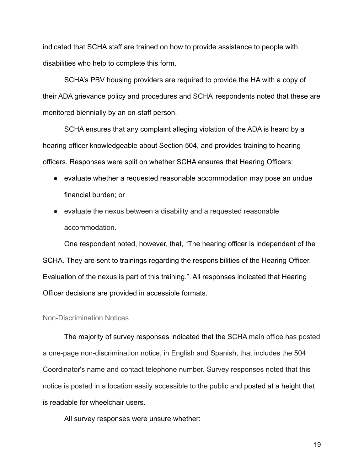indicated that SCHA staff are trained on how to provide assistance to people with disabilities who help to complete this form.

SCHA's PBV housing providers are required to provide the HA with a copy of their ADA grievance policy and procedures and SCHA respondents noted that these are monitored biennially by an on-staff person.

SCHA ensures that any complaint alleging violation of the ADA is heard by a hearing officer knowledgeable about Section 504, and provides training to hearing officers. Responses were split on whether SCHA ensures that Hearing Officers:

- evaluate whether a requested reasonable accommodation may pose an undue financial burden; or
- evaluate the nexus between a disability and a requested reasonable accommodation.

One respondent noted, however, that, "The hearing officer is independent of the SCHA. They are sent to trainings regarding the responsibilities of the Hearing Officer. Evaluation of the nexus is part of this training." All responses indicated that Hearing Officer decisions are provided in accessible formats.

#### <span id="page-19-0"></span>Non-Discrimination Notices

The majority of survey responses indicated that the SCHA main office has posted a one-page non-discrimination notice, in English and Spanish, that includes the 504 Coordinator's name and contact telephone number. Survey responses noted that this notice is posted in a location easily accessible to the public and posted at a height that is readable for wheelchair users.

All survey responses were unsure whether: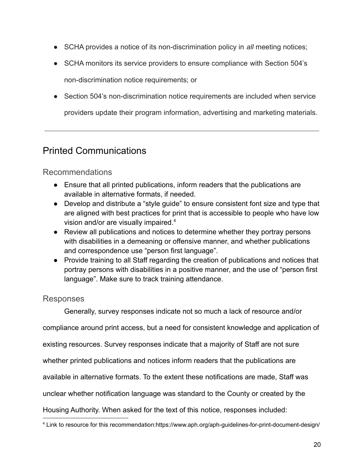- SCHA provides a notice of its non-discrimination policy in *all* meeting notices;
- SCHA monitors its service providers to ensure compliance with Section 504's non-discrimination notice requirements; or
- Section 504's non-discrimination notice requirements are included when service providers update their program information, advertising and marketing materials.

# <span id="page-20-0"></span>Printed Communications

### <span id="page-20-1"></span>Recommendations

- Ensure that all printed publications, inform readers that the publications are available in alternative formats, if needed.
- Develop and distribute a "style guide" to ensure consistent font size and type that are aligned with best practices for print that is accessible to people who have low vision and/or are visually impaired.4
- Review all publications and notices to determine whether they portray persons with disabilities in a demeaning or offensive manner, and whether publications and correspondence use "person first language".
- Provide training to all Staff regarding the creation of publications and notices that portray persons with disabilities in a positive manner, and the use of "person first language". Make sure to track training attendance.

#### <span id="page-20-2"></span>Responses

Generally, survey responses indicate not so much a lack of resource and/or

compliance around print access, but a need for consistent knowledge and application of

existing resources. Survey responses indicate that a majority of Staff are not sure

whether printed publications and notices inform readers that the publications are

available in alternative formats. To the extent these notifications are made, Staff was

unclear whether notification language was standard to the County or created by the

Housing Authority. When asked for the text of this notice, responses included:

 <sup>4</sup> Link to resource for this [recommendation:https://www.aph.org/aph-guidelines-for-print-document-design](https://recommendation:https://www.aph.org/aph-guidelines-for-print-document-design)/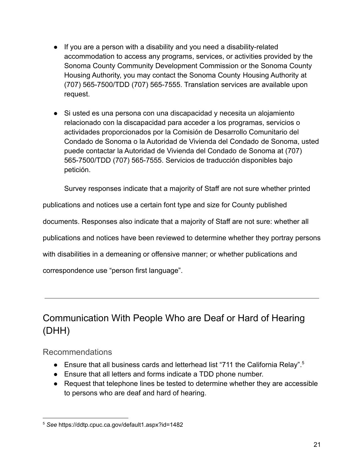- If you are a person with a disability and you need a disability-related accommodation to access any programs, services, or activities provided by the Sonoma County Community Development Commission or the Sonoma County Housing Authority, you may contact the Sonoma County Housing Authority at (707) 565-7500/TDD (707) 565-7555. Translation services are available upon request.
- Si usted es una persona con una discapacidad y necesita un alojamiento relacionado con la discapacidad para acceder a los programas, servicios o actividades proporcionados por la Comisión de Desarrollo Comunitario del Condado de Sonoma o la Autoridad de Vivienda del Condado de Sonoma, usted puede contactar la Autoridad de Vivienda del Condado de Sonoma at (707) 565-7500/TDD (707) 565-7555. Servicios de traducción disponibles bajo petición.

Survey responses indicate that a majority of Staff are not sure whether printed

publications and notices use a certain font type and size for County published

documents. Responses also indicate that a majority of Staff are not sure: whether all

publications and notices have been reviewed to determine whether they portray persons

with disabilities in a demeaning or offensive manner; or whether publications and

correspondence use "person first language".

# <span id="page-21-0"></span> Communication With People Who are Deaf or Hard of Hearing (DHH)

#### <span id="page-21-1"></span>Recommendations

- Ensure that all business cards and letterhead list "711 the California Relay".<sup>5</sup>
- Ensure that all letters and forms indicate a TDD phone number.
- Request that telephone lines be tested to determine whether they are accessible to persons who are deaf and hard of hearing.

<sup>5</sup> *See* <https://ddtp.cpuc.ca.gov/default1.aspx?id=1482>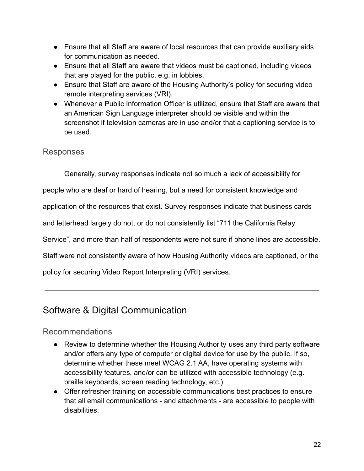- Ensure that all Staff are aware of local resources that can provide auxiliary aids for communication as needed.
- Ensure that all Staff are aware that videos must be captioned, including videos that are played for the public, e.g. in lobbies.
- Ensure that Staff are aware of the Housing Authority's policy for securing video remote interpreting services (VRI).
- Whenever a Public Information Officer is utilized, ensure that Staff are aware that an American Sign Language interpreter should be visible and within the screenshot if television cameras are in use and/or that a captioning service is to be used.

#### <span id="page-22-0"></span>Responses

Generally, survey responses indicate not so much a lack of accessibility for

people who are deaf or hard of hearing, but a need for consistent knowledge and

application of the resources that exist. Survey responses indicate that business cards

and letterhead largely do not, or do not consistently list "711 the California Relay

Service", and more than half of respondents were not sure if phone lines are accessible.

Staff were not consistently aware of how Housing Authority videos are captioned, or the

policy for securing Video Report Interpreting (VRI) services.

# <span id="page-22-1"></span>Software & Digital Communication

#### <span id="page-22-2"></span>Recommendations

- Review to determine whether the Housing Authority uses any third party software and/or offers any type of computer or digital device for use by the public. If so, determine whether these meet WCAG 2.1 AA, have operating systems with accessibility features, and/or can be utilized with accessible technology (e.g. braille keyboards, screen reading technology, etc.).
- Offer refresher training on accessible communications best practices to ensure that all email communications - and attachments - are accessible to people with disabilities.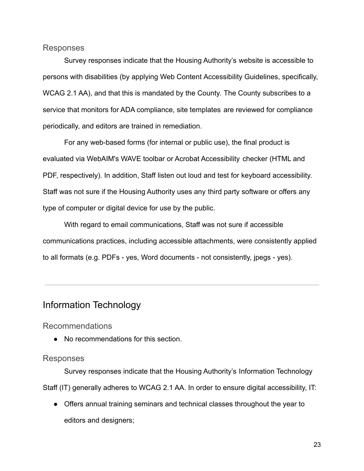#### <span id="page-23-0"></span>Responses

Survey responses indicate that the Housing Authority's website is accessible to persons with disabilities (by applying Web Content Accessibility Guidelines, specifically, WCAG 2.1 AA), and that this is mandated by the County. The County subscribes to a service that monitors for ADA compliance, site templates are reviewed for compliance periodically, and editors are trained in remediation.

For any web-based forms (for internal or public use), the final product is evaluated via WebAIM's WAVE toolbar or Acrobat Accessibility checker (HTML and PDF, respectively). In addition, Staff listen out loud and test for keyboard accessibility. Staff was not sure if the Housing Authority uses any third party software or offers any type of computer or digital device for use by the public.

With regard to email communications, Staff was not sure if accessible communications practices, including accessible attachments, were consistently applied to all formats (e.g. PDFs - yes, Word documents - not consistently, jpegs - yes).

## <span id="page-23-1"></span>Information Technology

<span id="page-23-2"></span>Recommendations

● No recommendations for this section.

#### <span id="page-23-3"></span>Responses

Survey responses indicate that the Housing Authority's Information Technology Staff (IT) generally adheres to WCAG 2.1 AA. In order to ensure digital accessibility, IT:

● Offers annual training seminars and technical classes throughout the year to editors and designers;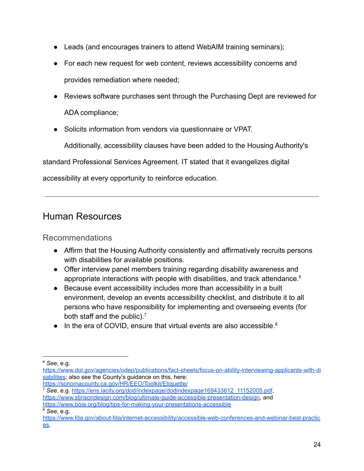- Leads (and encourages trainers to attend WebAIM training seminars);
- For each new request for web content, reviews accessibility concerns and provides remediation where needed;
- Reviews software purchases sent through the Purchasing Dept are reviewed for ADA compliance;
- Solicits information from vendors via questionnaire or VPAT.

Additionally, accessibility clauses have been added to the Housing Authority's

standard Professional Services Agreement. IT stated that it evangelizes digital

accessibility at every opportunity to reinforce education.

# <span id="page-24-0"></span>Human Resources

<span id="page-24-1"></span>Recommendations

- Affirm that the Housing Authority consistently and affirmatively recruits persons with disabilities for available positions.
- Offer interview panel members training regarding disability awareness and appropriate interactions with people with disabilities, and track attendance.<sup>6</sup>
- Because event accessibility includes more than accessibility in a built environment, develop an events accessibility checklist, and distribute it to all persons who have responsibility for implementing and overseeing events (for both staff and the public).<sup>7</sup>
- In the era of COVID, ensure that virtual events are also accessible.<sup>8</sup>

<https://sonomacounty.ca.gov/HR/EEO/Toolkit/Etiquette/> <sup>7</sup> *See*, e.g. [https://ens.lacity.org/dod/indexpage/dodindexpage169433612\\_11152005.pdf](https://ens.lacity.org/dod/indexpage/dodindexpage169433612_11152005.pdf), <https://www.stinsondesign.com/blog/ultimate-guide-accessible-presentation-design>, and

<https://www.boia.org/blog/tips-for-making-your-presentations-accessible>

<sup>8</sup> *See*, e.g.

<sup>6</sup> *See*, e.g.

[sabilities](https://www.dol.gov/agencies/odep/publications/fact-sheets/focus-on-ability-interviewing-applicants-with-disabilities); also see the County's guidance on this, here: [https://www.dol.gov/agencies/odep/publications/fact-sheets/focus-on-ability-interviewing-applicants-with-di](https://www.dol.gov/agencies/odep/publications/fact-sheets/focus-on-ability-interviewing-applicants-with-disabilities)

[https://www.fda.gov/about-fda/internet-accessibility/accessible-web-conferences-and-webinar-best-practic](https://www.fda.gov/about-fda/internet-accessibility/accessible-web-conferences-and-webinar-best-practices) [es.](https://www.fda.gov/about-fda/internet-accessibility/accessible-web-conferences-and-webinar-best-practices)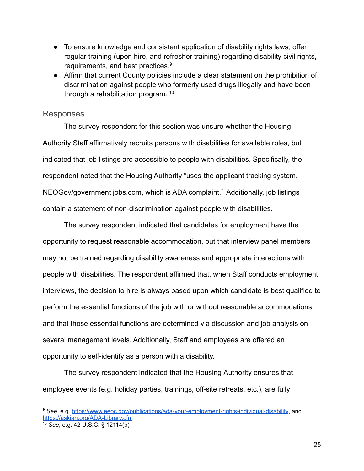- To ensure knowledge and consistent application of disability rights laws, offer regular training (upon hire, and refresher training) regarding disability civil rights, requirements, and best practices.<sup>9</sup>
- Affirm that current County policies include a clear statement on the prohibition of discrimination against people who formerly used drugs illegally and have been through a rehabilitation program.  $10$

#### <span id="page-25-0"></span>Responses

The survey respondent for this section was unsure whether the Housing Authority Staff affirmatively recruits persons with disabilities for available roles, but indicated that job listings are accessible to people with disabilities. Specifically, the respondent noted that the Housing Authority "uses the applicant tracking system, NEOGov/government [jobs.com](https://jobs.com), which is ADA complaint." Additionally, job listings contain a statement of non-discrimination against people with disabilities.

The survey respondent indicated that candidates for employment have the opportunity to request reasonable accommodation, but that interview panel members may not be trained regarding disability awareness and appropriate interactions with people with disabilities. The respondent affirmed that, when Staff conducts employment interviews, the decision to hire is always based upon which candidate is best qualified to perform the essential functions of the job with or without reasonable accommodations, and that those essential functions are determined via discussion and job analysis on several management levels. Additionally, Staff and employees are offered an opportunity to self-identify as a person with a disability.

The survey respondent indicated that the Housing Authority ensures that employee events (e.g. holiday parties, trainings, off-site retreats, etc.), are fully

<sup>&</sup>lt;sup>9</sup> See, e.g. <https://www.eeoc.gov/publications/ada-your-employment-rights-individual-disability>, and <https://askjan.org/ADA-Library.cfm>

 <sup>10</sup> *See*, e.g. 42 U.S.C. § 12114(b)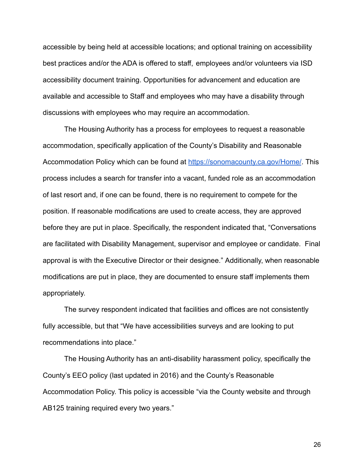accessible by being held at accessible locations; and optional training on accessibility best practices and/or the ADA is offered to staff, employees and/or volunteers via ISD accessibility document training. Opportunities for advancement and education are available and accessible to Staff and employees who may have a disability through discussions with employees who may require an accommodation.

The Housing Authority has a process for employees to request a reasonable accommodation, specifically application of the County's Disability and Reasonable Accommodation Policy which can be found at <https://sonomacounty.ca.gov/Home/>. This process includes a search for transfer into a vacant, funded role as an accommodation of last resort and, if one can be found, there is no requirement to compete for the position. If reasonable modifications are used to create access, they are approved before they are put in place. Specifically, the respondent indicated that, "Conversations are facilitated with Disability Management, supervisor and employee or candidate. Final approval is with the Executive Director or their designee." Additionally, when reasonable modifications are put in place, they are documented to ensure staff implements them appropriately.

The survey respondent indicated that facilities and offices are not consistently fully accessible, but that "We have accessibilities surveys and are looking to put recommendations into place."

The Housing Authority has an anti-disability harassment policy, specifically the County's EEO policy (last updated in 2016) and the County's Reasonable Accommodation Policy. This policy is accessible "via the County website and through AB125 training required every two years."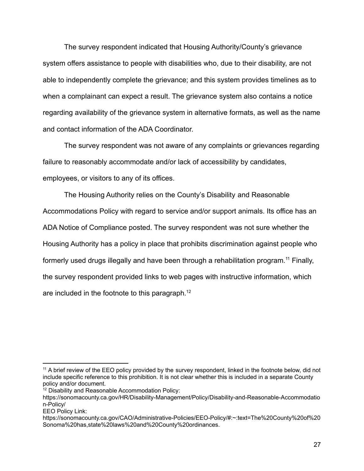The survey respondent indicated that Housing Authority/County's grievance system offers assistance to people with disabilities who, due to their disability, are not able to independently complete the grievance; and this system provides timelines as to when a complainant can expect a result. The grievance system also contains a notice regarding availability of the grievance system in alternative formats, as well as the name and contact information of the ADA Coordinator.

The survey respondent was not aware of any complaints or grievances regarding failure to reasonably accommodate and/or lack of accessibility by candidates, employees, or visitors to any of its offices.

The Housing Authority relies on the County's Disability and Reasonable Accommodations Policy with regard to service and/or support animals. Its office has an ADA Notice of Compliance posted. The survey respondent was not sure whether the Housing Authority has a policy in place that prohibits discrimination against people who formerly used drugs illegally and have been through a rehabilitation program.<sup>11</sup> Finally, the survey respondent provided links to web pages with instructive information, which are included in the footnote to this paragraph.<sup>12</sup>

<sup>&</sup>lt;sup>11</sup> A brief review of the EEO policy provided by the survey respondent, linked in the footnote below, did not include specific reference to this prohibition. It is not clear whether this is included in a separate County policy and/or document.

 $12$  Disability and Reasonable Accommodation Policy:

<https://sonomacounty.ca.gov/HR/Disability-Management/Policy/Disability-and-Reasonable-Accommodatio> n-Policy/

 EEO Policy Link:

<https://sonomacounty.ca.gov/CAO/Administrative-Policies/EEO-Policy/#:~:text=The%20County%20of%20> Sonoma%20has,state%20laws%20and%20County%20ordinances.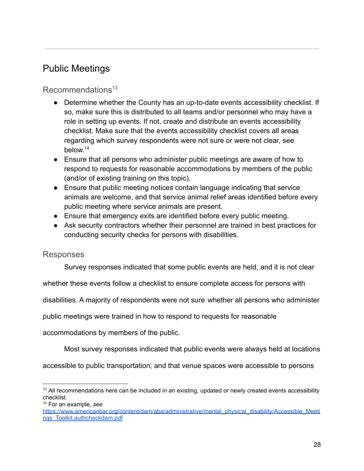# <span id="page-28-0"></span>Public Meetings

#### <span id="page-28-1"></span> $Recommendations<sup>13</sup>$

- Determine whether the County has an up-to-date events accessibility checklist. If so, make sure this is distributed to all teams and/or personnel who may have a role in setting up events. If not, create and distribute an events accessibility checklist. Make sure that the events accessibility checklist covers all areas regarding which survey respondents were not sure or were not clear, see [below.14](https://below.14)
- Ensure that all persons who administer public meetings are aware of how to respond to requests for reasonable accommodations by members of the public (and/or of existing training on this topic).
- Ensure that public meeting notices contain language indicating that service animals are welcome, and that service animal relief areas identified before every public meeting where service animals are present.
- Ensure that emergency exits are identified before every public meeting.
- Ask security contractors whether their personnel are trained in best practices for conducting security checks for persons with disabilities.

#### <span id="page-28-2"></span>Responses

Survey responses indicated that some public events are held, and it is not clear

whether these events follow a checklist to ensure complete access for persons with

disabilities. A majority of respondents were not sure whether all persons who administer

public meetings were trained in how to respond to requests for reasonable

accommodations by members of the public.

Most survey responses indicated that public events were always held at locations

accessible to public transportation, and that venue spaces were accessible to persons

 $13$  All recommendations here can be included in an existing, updated or newly created events accessibility checklist.

 <sup>14</sup> For an example, *see*

[https://www.americanbar.org/content/dam/aba/administrative/mental\\_physical\\_disability/Accessible\\_Meeti](https://www.americanbar.org/content/dam/aba/administrative/mental_physical_disability/Accessible_Meetings_Toolkit.authcheckdam.pdf) [ngs\\_Toolkit.authcheckdam.pdf](https://www.americanbar.org/content/dam/aba/administrative/mental_physical_disability/Accessible_Meetings_Toolkit.authcheckdam.pdf)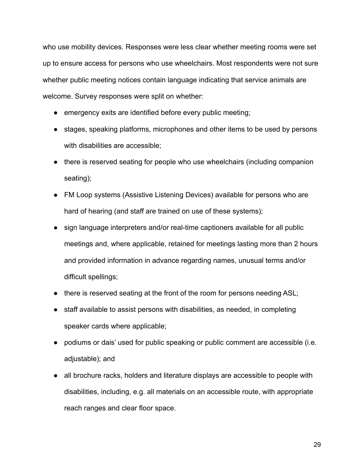who use mobility devices. Responses were less clear whether meeting rooms were set up to ensure access for persons who use wheelchairs. Most respondents were not sure whether public meeting notices contain language indicating that service animals are welcome. Survey responses were split on whether:

- emergency exits are identified before every public meeting;
- stages, speaking platforms, microphones and other items to be used by persons with disabilities are accessible;
- there is reserved seating for people who use wheelchairs (including companion seating);
- FM Loop systems (Assistive Listening Devices) available for persons who are hard of hearing (and staff are trained on use of these systems);
- sign language interpreters and/or real-time captioners available for all public meetings and, where applicable, retained for meetings lasting more than 2 hours and provided information in advance regarding names, unusual terms and/or difficult spellings;
- there is reserved seating at the front of the room for persons needing ASL;
- staff available to assist persons with disabilities, as needed, in completing speaker cards where applicable;
- podiums or dais' used for public speaking or public comment are accessible (i.e. adjustable); and
- all brochure racks, holders and literature displays are accessible to people with disabilities, including, e.g. all materials on an accessible route, with appropriate reach ranges and clear floor space.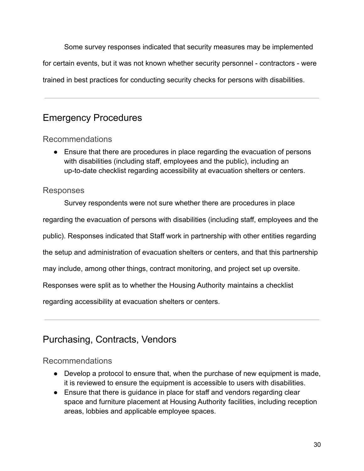Some survey responses indicated that security measures may be implemented for certain events, but it was not known whether security personnel - contractors - were trained in best practices for conducting security checks for persons with disabilities.

# <span id="page-30-0"></span>Emergency Procedures

#### <span id="page-30-1"></span>Recommendations

● Ensure that there are procedures in place regarding the evacuation of persons with disabilities (including staff, employees and the public), including an up-to-date checklist regarding accessibility at evacuation shelters or centers.

#### <span id="page-30-2"></span>Responses

Survey respondents were not sure whether there are procedures in place regarding the evacuation of persons with disabilities (including staff, employees and the public). Responses indicated that Staff work in partnership with other entities regarding the setup and administration of evacuation shelters or centers, and that this partnership may include, among other things, contract monitoring, and project set up oversite. Responses were split as to whether the Housing Authority maintains a checklist

regarding accessibility at evacuation shelters or centers.

# <span id="page-30-3"></span>Purchasing, Contracts, Vendors

#### <span id="page-30-4"></span>Recommendations

- Develop a protocol to ensure that, when the purchase of new equipment is made, it is reviewed to ensure the equipment is accessible to users with disabilities.
- Ensure that there is guidance in place for staff and vendors regarding clear space and furniture placement at Housing Authority facilities, including reception areas, lobbies and applicable employee spaces.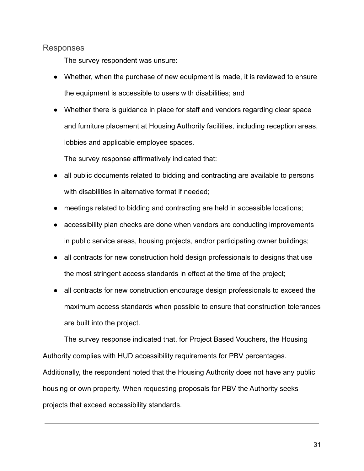#### <span id="page-31-0"></span>Responses

The survey respondent was unsure:

- Whether, when the purchase of new equipment is made, it is reviewed to ensure the equipment is accessible to users with disabilities; and
- Whether there is guidance in place for staff and vendors regarding clear space and furniture placement at Housing Authority facilities, including reception areas, lobbies and applicable employee spaces.

The survey response affirmatively indicated that:

- all public documents related to bidding and contracting are available to persons with disabilities in alternative format if needed;
- meetings related to bidding and contracting are held in accessible locations;
- accessibility plan checks are done when vendors are conducting improvements in public service areas, housing projects, and/or participating owner buildings;
- all contracts for new construction hold design professionals to designs that use the most stringent access standards in effect at the time of the project;
- all contracts for new construction encourage design professionals to exceed the maximum access standards when possible to ensure that construction tolerances are built into the project.

The survey response indicated that, for Project Based Vouchers, the Housing Authority complies with HUD accessibility requirements for PBV percentages. Additionally, the respondent noted that the Housing Authority does not have any public housing or own property. When requesting proposals for PBV the Authority seeks projects that exceed accessibility standards.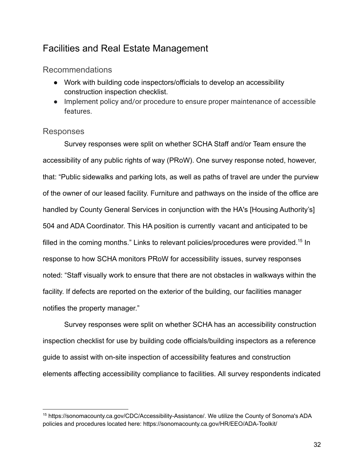# <span id="page-32-0"></span>Facilities and Real Estate Management

#### <span id="page-32-1"></span>Recommendations

- Work with building code inspectors/officials to develop an accessibility construction inspection checklist.
- Implement policy and/or procedure to ensure proper maintenance of accessible features.

#### <span id="page-32-2"></span>Responses

Survey responses were split on whether SCHA Staff and/or Team ensure the accessibility of any public rights of way (PRoW). One survey response noted, however, that: "Public sidewalks and parking lots, as well as paths of travel are under the purview of the owner of our leased facility. Furniture and pathways on the inside of the office are handled by County General Services in conjunction with the HA's [Housing Authority's] 504 and ADA Coordinator. This HA position is currently vacant and anticipated to be filled in the coming months." Links to relevant policies/procedures were provided.<sup>15</sup> In response to how SCHA monitors PRoW for accessibility issues, survey responses noted: "Staff visually work to ensure that there are not obstacles in walkways within the facility. If defects are reported on the exterior of the building, our facilities manager notifies the property manager."

Survey responses were split on whether SCHA has an accessibility construction inspection checklist for use by building code officials/building inspectors as a reference guide to assist with on-site inspection of accessibility features and construction elements affecting accessibility compliance to facilities. All survey respondents indicated

 <sup>15</sup> <https://sonomacounty.ca.gov/CDC/Accessibility-Assistance>/. We utilize the County of Sonoma's ADA policies and procedures located here: [https://sonomacounty.ca.gov/HR/EEO/ADA-Toolkit/](https://sonomacounty.ca.gov/HR/EEO/ADA-Toolkit)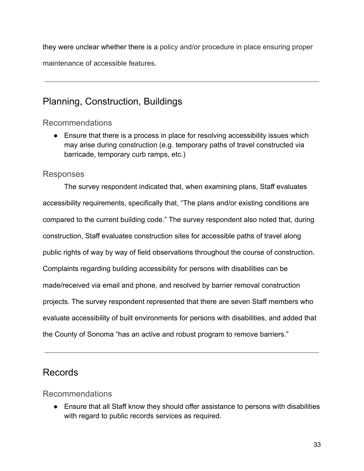they were unclear whether there is a policy and/or procedure in place ensuring proper

maintenance of accessible features.

# <span id="page-33-0"></span>Planning, Construction, Buildings

#### <span id="page-33-1"></span>Recommendations

• Ensure that there is a process in place for resolving accessibility issues which may arise during construction (e.g. temporary paths of travel constructed via barricade, temporary curb ramps, etc.)

#### <span id="page-33-2"></span>Responses

The survey respondent indicated that, when examining plans, Staff evaluates accessibility requirements, specifically that, "The plans and/or existing conditions are compared to the current building code." The survey respondent also noted that, during construction, Staff evaluates construction sites for accessible paths of travel along public rights of way by way of field observations throughout the course of construction. Complaints regarding building accessibility for persons with disabilities can be made/received via email and phone, and resolved by barrier removal construction projects. The survey respondent represented that there are seven Staff members who evaluate accessibility of built environments for persons with disabilities, and added that the County of Sonoma "has an active and robust program to remove barriers."

## <span id="page-33-3"></span>Records

#### <span id="page-33-4"></span>Recommendations

● Ensure that all Staff know they should offer assistance to persons with disabilities with regard to public records services as required.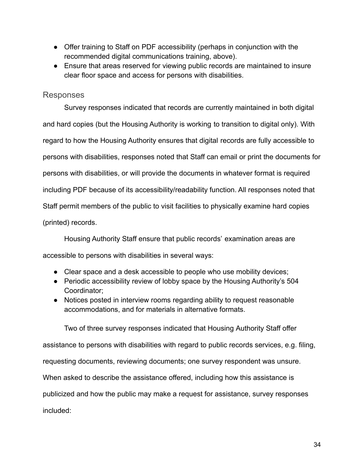- Offer training to Staff on PDF accessibility (perhaps in conjunction with the recommended digital communications training, above).
- Ensure that areas reserved for viewing public records are maintained to insure clear floor space and access for persons with disabilities.

#### <span id="page-34-0"></span>Responses

Survey responses indicated that records are currently maintained in both digital and hard copies (but the Housing Authority is working to transition to digital only). With regard to how the Housing Authority ensures that digital records are fully accessible to persons with disabilities, responses noted that Staff can email or print the documents for persons with disabilities, or will provide the documents in whatever format is required including PDF because of its accessibility/readability function. All responses noted that Staff permit members of the public to visit facilities to physically examine hard copies (printed) records.

Housing Authority Staff ensure that public records' examination areas are accessible to persons with disabilities in several ways:

- Clear space and a desk accessible to people who use mobility devices;
- Periodic accessibility review of lobby space by the Housing Authority's 504 Coordinator;
- Notices posted in interview rooms regarding ability to request reasonable accommodations, and for materials in alternative formats.

Two of three survey responses indicated that Housing Authority Staff offer assistance to persons with disabilities with regard to public records services, e.g. filing, requesting documents, reviewing documents; one survey respondent was unsure. When asked to describe the assistance offered, including how this assistance is publicized and how the public may make a request for assistance, survey responses included: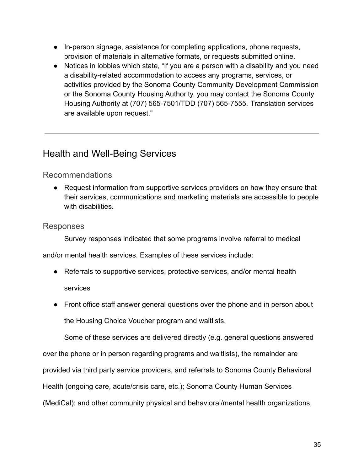- In-person signage, assistance for completing applications, phone requests, provision of materials in alternative formats, or requests submitted online.
- Notices in lobbies which state, "If you are a person with a disability and you need a disability-related accommodation to access any programs, services, or activities provided by the Sonoma County Community Development Commission or the Sonoma County Housing Authority, you may contact the Sonoma County Housing Authority at (707) 565-7501/TDD (707) 565-7555. Translation services are available upon request."

# <span id="page-35-0"></span>Health and Well-Being Services

#### <span id="page-35-1"></span>Recommendations

● Request information from supportive services providers on how they ensure that their services, communications and marketing materials are accessible to people with disabilities.

#### <span id="page-35-2"></span>Responses

Survey responses indicated that some programs involve referral to medical

and/or mental health services. Examples of these services include:

- Referrals to supportive services, protective services, and/or mental health services
- Front office staff answer general questions over the phone and in person about the Housing Choice Voucher program and waitlists.

Some of these services are delivered directly (e.g. general questions answered

over the phone or in person regarding programs and waitlists), the remainder are

provided via third party service providers, and referrals to Sonoma County Behavioral

Health (ongoing care, acute/crisis care, etc.); Sonoma County Human Services

(MediCal); and other community physical and behavioral/mental health organizations.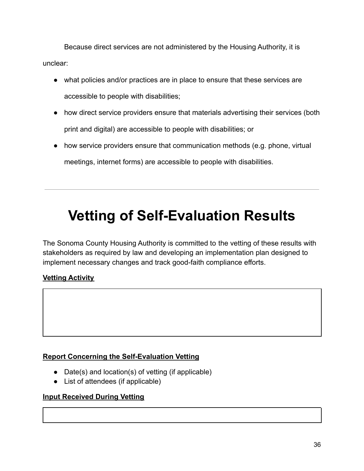Because direct services are not administered by the Housing Authority, it is unclear:

- what policies and/or practices are in place to ensure that these services are accessible to people with disabilities;
- how direct service providers ensure that materials advertising their services (both print and digital) are accessible to people with disabilities; or
- how service providers ensure that communication methods (e.g. phone, virtual meetings, internet forms) are accessible to people with disabilities.

# **Vetting of Self-Evaluation Results**

The Sonoma County Housing Authority is committed to the vetting of these results with stakeholders as required by law and developing an implementation plan designed to implement necessary changes and track good-faith compliance efforts.

### **Vetting Activity**

#### **Report Concerning the Self-Evaluation Vetting**

- Date(s) and location(s) of vetting (if applicable)
- List of attendees (if applicable)

#### **Input Received During Vetting**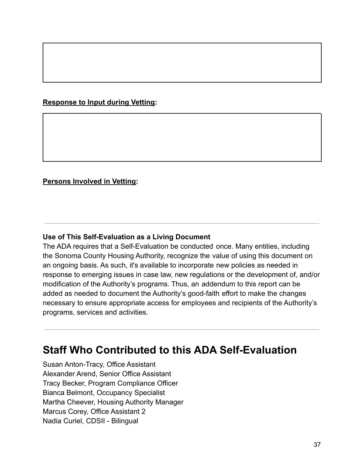#### **Response to Input during Vetting:**

**Persons Involved in Vetting:**

#### **Use of This Self-Evaluation as a Living Document**

The ADA requires that a Self-Evaluation be conducted once. Many entities, including the Sonoma County Housing Authority, recognize the value of using this document on an ongoing basis. As such, it's available to incorporate new policies as needed in response to emerging issues in case law, new regulations or the development of, and/or modification of the Authority's programs. Thus, an addendum to this report can be added as needed to document the Authority's good-faith effort to make the changes necessary to ensure appropriate access for employees and recipients of the Authority's programs, services and activities.

### **Staff Who Contributed to this ADA Self-Evaluation**

Susan Anton-Tracy, Office Assistant Alexander Arend, Senior Office Assistant Tracy Becker, Program Compliance Officer Bianca Belmont, Occupancy Specialist Martha Cheever, Housing Authority Manager Marcus Corey, Office Assistant 2 Nadia Curiel, CDSII - Bilingual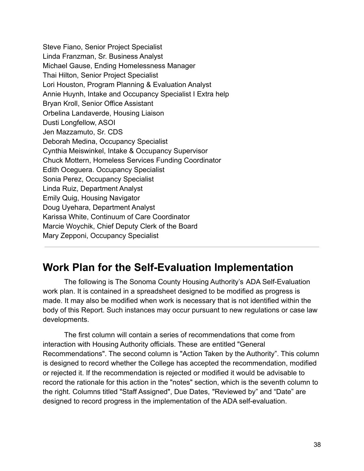Steve Fiano, Senior Project Specialist Linda Franzman, Sr. Business Analyst Michael Gause, Ending Homelessness Manager Thai Hilton, Senior Project Specialist Lori Houston, Program Planning & Evaluation Analyst Annie Huynh, Intake and Occupancy Specialist I Extra help Bryan Kroll, Senior Office Assistant Orbelina Landaverde, Housing Liaison Dusti Longfellow, ASOI Jen Mazzamuto, Sr. CDS Deborah Medina, Occupancy Specialist Cynthia Meiswinkel, Intake & Occupancy Supervisor Chuck Mottern, Homeless Services Funding Coordinator Edith Oceguera. Occupancy Specialist Sonia Perez, Occupancy Specialist Linda Ruiz, Department Analyst Emily Quig, Housing Navigator Doug Uyehara, Department Analyst Karissa White, Continuum of Care Coordinator Marcie Woychik, Chief Deputy Clerk of the Board Mary Zepponi, Occupancy Specialist

### **Work Plan for the Self-Evaluation Implementation**

The following is The Sonoma County Housing Authority's ADA Self-Evaluation work plan. It is contained in a spreadsheet designed to be modified as progress is made. It may also be modified when work is necessary that is not identified within the body of this Report. Such instances may occur pursuant to new regulations or case law developments.

The first column will contain a series of recommendations that come from interaction with Housing Authority officials. These are entitled "General Recommendations". The second column is "Action Taken by the Authority". This column is designed to record whether the College has accepted the recommendation, modified or rejected it. If the recommendation is rejected or modified it would be advisable to record the rationale for this action in the "notes" section, which is the seventh column to the right. Columns titled "Staff Assigned", Due Dates, "Reviewed by" and "Date" are designed to record progress in the implementation of the ADA self-evaluation.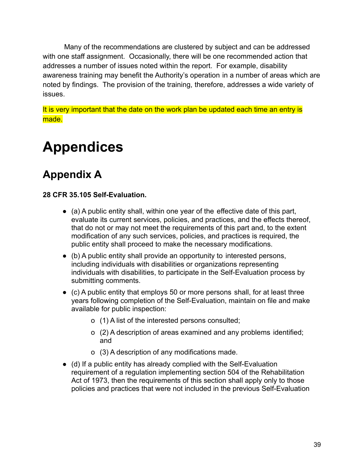Many of the recommendations are clustered by subject and can be addressed with one staff assignment. Occasionally, there will be one recommended action that addresses a number of issues noted within the report. For example, disability awareness training may benefit the Authority's operation in a number of areas which are noted by findings. The provision of the training, therefore, addresses a wide variety of issues.

<mark>It is '</mark><br>mad It is very important that the date on the work plan be updated each time an entry is made.

# **Appendices**

# **Appendix A**

#### **28 CFR 35.105 Self-Evaluation.**

- $\bullet$  (a) A public entity shall, within one year of the effective date of this part, evaluate its current services, policies, and practices, and the effects thereof, that do not or may not meet the requirements of this part and, to the extent modification of any such services, policies, and practices is required, the public entity shall proceed to make the necessary modifications.
- $\bullet$  (b) A public entity shall provide an opportunity to interested persons, including individuals with disabilities or organizations representing individuals with disabilities, to participate in the Self-Evaluation process by submitting comments.
- (c) A public entity that employs 50 or more persons shall, for at least three years following completion of the Self-Evaluation, maintain on file and make available for public inspection:
	- o (1) A list of the interested persons consulted;
	- o (2) A description of areas examined and any problems identified; and
	- o (3) A description of any modifications made.
- (d) If a public entity has already complied with the Self-Evaluation requirement of a regulation implementing section 504 of the Rehabilitation Act of 1973, then the requirements of this section shall apply only to those policies and practices that were not included in the previous Self-Evaluation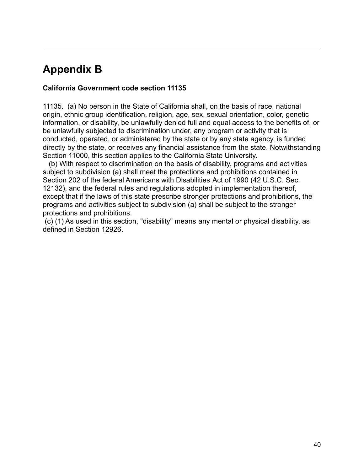## **Appendix B**

#### **California Government code section 11135**

11135. (a) No person in the State of California shall, on the basis of race, national origin, ethnic group identification, religion, age, sex, sexual orientation, color, genetic information, or disability, be unlawfully denied full and equal access to the benefits of, or be unlawfully subjected to discrimination under, any program or activity that is conducted, operated, or administered by the state or by any state agency, is funded directly by the state, or receives any financial assistance from the state. Notwithstanding Section 11000, this section applies to the California State University.

(b) With respect to discrimination on the basis of disability, programs and activities subject to subdivision (a) shall meet the protections and prohibitions contained in Section 202 of the federal Americans with Disabilities Act of 1990 (42 U.S.C. Sec. 12132), and the federal rules and regulations adopted in implementation thereof, except that if the laws of this state prescribe stronger protections and prohibitions, the programs and activities subject to subdivision (a) shall be subject to the stronger protections and prohibitions.

(c) (1) As used in this section, "disability" means any mental or physical disability, as defined in Section 12926.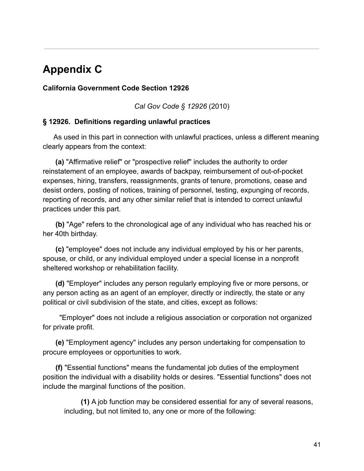## **Appendix C**

#### **California Government Code Section 12926**

*Cal Gov Code § 12926* (2010)

#### **§ 12926. Definitions regarding unlawful practices**

As used in this part in connection with unlawful practices, unless a different meaning clearly appears from the context:

**(a)** "Affirmative relief" or "prospective relief" includes the authority to order reinstatement of an employee, awards of backpay, reimbursement of out-of-pocket expenses, hiring, transfers, reassignments, grants of tenure, promotions, cease and desist orders, posting of notices, training of personnel, testing, expunging of records, reporting of records, and any other similar relief that is intended to correct unlawful practices under this part.

**(b)** "Age" refers to the chronological age of any individual who has reached his or her 40th birthday.

**(c)** "employee" does not include any individual employed by his or her parents, spouse, or child, or any individual employed under a special license in a nonprofit sheltered workshop or rehabilitation facility.

**(d)** "Employer" includes any person regularly employing five or more persons, or any person acting as an agent of an employer, directly or indirectly, the state or any political or civil subdivision of the state, and cities, except as follows:

"Employer" does not include a religious association or corporation not organized for private profit.

**(e)** "Employment agency" includes any person undertaking for compensation to procure employees or opportunities to work.

**(f)** "Essential functions" means the fundamental job duties of the employment position the individual with a disability holds or desires. "Essential functions" does not include the marginal functions of the position.

**(1)** A job function may be considered essential for any of several reasons, including, but not limited to, any one or more of the following: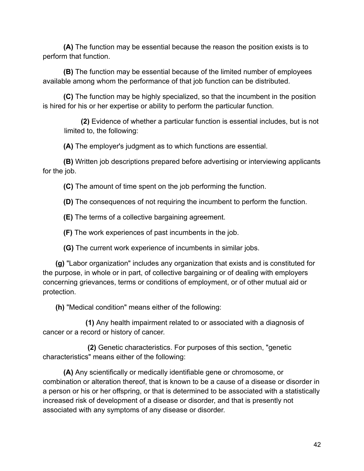**(A)** The function may be essential because the reason the position exists is to perform that function.

**(B)** The function may be essential because of the limited number of employees available among whom the performance of that job function can be distributed.

**(C)** The function may be highly specialized, so that the incumbent in the position is hired for his or her expertise or ability to perform the particular function.

**(2)** Evidence of whether a particular function is essential includes, but is not limited to, the following:

**(A)** The employer's judgment as to which functions are essential.

**(B)** Written job descriptions prepared before advertising or interviewing applicants for the job.

**(C)** The amount of time spent on the job performing the function.

**(D)** The consequences of not requiring the incumbent to perform the function.

**(E)** The terms of a collective bargaining agreement.

**(F)** The work experiences of past incumbents in the job.

**(G)** The current work experience of incumbents in similar jobs.

**(g)** "Labor organization" includes any organization that exists and is constituted for the purpose, in whole or in part, of collective bargaining or of dealing with employers concerning grievances, terms or conditions of employment, or of other mutual aid or protection.

**(h)** "Medical condition" means either of the following:

**(1)** Any health impairment related to or associated with a diagnosis of cancer or a record or history of cancer.

**(2)** Genetic characteristics. For purposes of this section, "genetic characteristics" means either of the following:

**(A)** Any scientifically or medically identifiable gene or chromosome, or combination or alteration thereof, that is known to be a cause of a disease or disorder in a person or his or her offspring, or that is determined to be associated with a statistically increased risk of development of a disease or disorder, and that is presently not associated with any symptoms of any disease or disorder.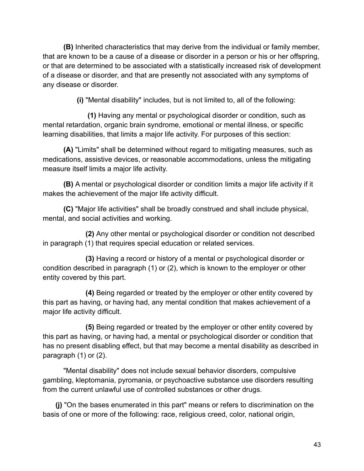**(B)** Inherited characteristics that may derive from the individual or family member, that are known to be a cause of a disease or disorder in a person or his or her offspring, or that are determined to be associated with a statistically increased risk of development of a disease or disorder, and that are presently not associated with any symptoms of any disease or disorder.

**(i)** "Mental disability" includes, but is not limited to, all of the following:

**(1)** Having any mental or psychological disorder or condition, such as mental retardation, organic brain syndrome, emotional or mental illness, or specific learning disabilities, that limits a major life activity. For purposes of this section:

**(A)** "Limits" shall be determined without regard to mitigating measures, such as medications, assistive devices, or reasonable accommodations, unless the mitigating measure itself limits a major life activity.

**(B)** A mental or psychological disorder or condition limits a major life activity if it makes the achievement of the major life activity difficult.

**(C)** "Major life activities" shall be broadly construed and shall include physical, mental, and social activities and working.

**(2)** Any other mental or psychological disorder or condition not described in paragraph (1) that requires special education or related services.

**(3)** Having a record or history of a mental or psychological disorder or condition described in paragraph (1) or (2), which is known to the employer or other entity covered by this part.

**(4)** Being regarded or treated by the employer or other entity covered by this part as having, or having had, any mental condition that makes achievement of a major life activity difficult.

**(5)** Being regarded or treated by the employer or other entity covered by this part as having, or having had, a mental or psychological disorder or condition that has no present disabling effect, but that may become a mental disability as described in paragraph (1) or (2).

"Mental disability" does not include sexual behavior disorders, compulsive gambling, kleptomania, pyromania, or psychoactive substance use disorders resulting from the current unlawful use of controlled substances or other drugs.

**(j)** "On the bases enumerated in this part" means or refers to discrimination on the basis of one or more of the following: race, religious creed, color, national origin,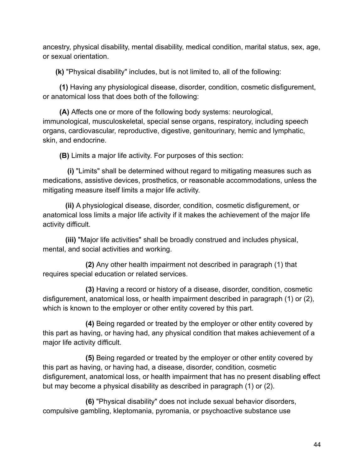ancestry, physical disability, mental disability, medical condition, marital status, sex, age, or sexual orientation.

**(k)** "Physical disability" includes, but is not limited to, all of the following:

**(1)** Having any physiological disease, disorder, condition, cosmetic disfigurement, or anatomical loss that does both of the following:

**(A)** Affects one or more of the following body systems: neurological, immunological, musculoskeletal, special sense organs, respiratory, including speech organs, cardiovascular, reproductive, digestive, genitourinary, hemic and lymphatic, skin, and endocrine.

**(B)** Limits a major life activity. For purposes of this section:

**(i)** "Limits" shall be determined without regard to mitigating measures such as medications, assistive devices, prosthetics, or reasonable accommodations, unless the mitigating measure itself limits a major life activity.

**(ii)** A physiological disease, disorder, condition, cosmetic disfigurement, or anatomical loss limits a major life activity if it makes the achievement of the major life activity difficult.

**(iii)** "Major life activities" shall be broadly construed and includes physical, mental, and social activities and working.

**(2)** Any other health impairment not described in paragraph (1) that requires special education or related services.

**(3)** Having a record or history of a disease, disorder, condition, cosmetic disfigurement, anatomical loss, or health impairment described in paragraph (1) or (2), which is known to the employer or other entity covered by this part.

**(4)** Being regarded or treated by the employer or other entity covered by this part as having, or having had, any physical condition that makes achievement of a major life activity difficult.

**(5)** Being regarded or treated by the employer or other entity covered by this part as having, or having had, a disease, disorder, condition, cosmetic disfigurement, anatomical loss, or health impairment that has no present disabling effect but may become a physical disability as described in paragraph (1) or (2).

**(6)** "Physical disability" does not include sexual behavior disorders, compulsive gambling, kleptomania, pyromania, or psychoactive substance use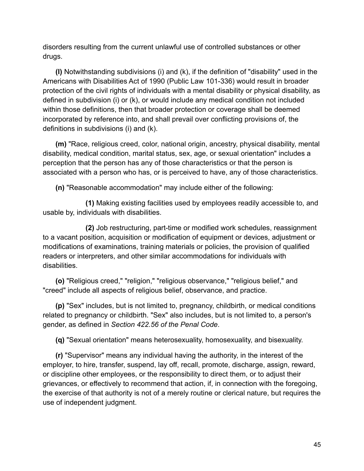disorders resulting from the current unlawful use of controlled substances or other drugs.

**(l)** Notwithstanding subdivisions (i) and (k), if the definition of "disability" used in the Americans with Disabilities Act of 1990 (Public Law 101-336) would result in broader protection of the civil rights of individuals with a mental disability or physical disability, as defined in subdivision (i) or (k), or would include any medical condition not included within those definitions, then that broader protection or coverage shall be deemed incorporated by reference into, and shall prevail over conflicting provisions of, the definitions in subdivisions (i) and (k).

**(m)** "Race, religious creed, color, national origin, ancestry, physical disability, mental disability, medical condition, marital status, sex, age, or sexual orientation" includes a perception that the person has any of those characteristics or that the person is associated with a person who has, or is perceived to have, any of those characteristics.

**(n)** "Reasonable accommodation" may include either of the following:

**(1)** Making existing facilities used by employees readily accessible to, and usable by, individuals with disabilities.

**(2)** Job restructuring, part-time or modified work schedules, reassignment to a vacant position, acquisition or modification of equipment or devices, adjustment or modifications of examinations, training materials or policies, the provision of qualified readers or interpreters, and other similar accommodations for individuals with disabilities.

**(o)** "Religious creed," "religion," "religious observance," "religious belief," and "creed" include all aspects of religious belief, observance, and practice.

**(p)** "Sex" includes, but is not limited to, pregnancy, childbirth, or medical conditions related to pregnancy or childbirth. "Sex" also includes, but is not limited to, a person's gender, as defined in *Section 422.56 of the Penal Code*.

**(q)** "Sexual orientation" means heterosexuality, homosexuality, and bisexuality.

**(r)** "Supervisor" means any individual having the authority, in the interest of the employer, to hire, transfer, suspend, lay off, recall, promote, discharge, assign, reward, or discipline other employees, or the responsibility to direct them, or to adjust their grievances, or effectively to recommend that action, if, in connection with the foregoing, the exercise of that authority is not of a merely routine or clerical nature, but requires the use of independent judgment.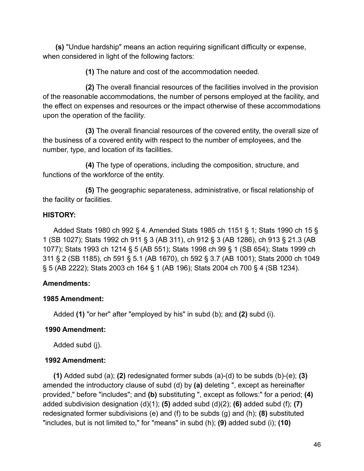**(s)** "Undue hardship" means an action requiring significant difficulty or expense, when considered in light of the following factors:

**(1)** The nature and cost of the accommodation needed.

**(2)** The overall financial resources of the facilities involved in the provision of the reasonable accommodations, the number of persons employed at the facility, and the effect on expenses and resources or the impact otherwise of these accommodations upon the operation of the facility.

**(3)** The overall financial resources of the covered entity, the overall size of the business of a covered entity with respect to the number of employees, and the number, type, and location of its facilities.

**(4)** The type of operations, including the composition, structure, and functions of the workforce of the entity.

**(5)** The geographic separateness, administrative, or fiscal relationship of the facility or facilities.

#### **HISTORY:**

Added Stats 1980 ch 992 § 4. Amended Stats 1985 ch 1151 § 1; Stats 1990 ch 15 § 1 (SB 1027); Stats 1992 ch 911 § 3 (AB 311), ch 912 § 3 (AB 1286), ch 913 § 21.3 (AB 1077); Stats 1993 ch 1214 § 5 (AB 551); Stats 1998 ch 99 § 1 (SB 654); Stats 1999 ch 311 § 2 (SB 1185), ch 591 § 5.1 (AB 1670), ch 592 § 3.7 (AB 1001); Stats 2000 ch 1049 § 5 (AB 2222); Stats 2003 ch 164 § 1 (AB 196); Stats 2004 ch 700 § 4 (SB 1234).

#### **Amendments:**

#### **1985 Amendment:**

Added **(1)** "or her" after "employed by his" in subd (b); and **(2)** subd (i).

#### **1990 Amendment:**

Added subd (j).

#### **1992 Amendment:**

**(1)** Added subd (a); **(2)** redesignated former subds (a)-(d) to be subds (b)-(e); **(3)** amended the introductory clause of subd (d) by **(a)** deleting ", except as hereinafter provided," before "includes"; and **(b)** substituting ", except as follows:" for a period; **(4)** added subdivision designation (d)(1); **(5)** added subd (d)(2); **(6)** added subd (f); **(7)** redesignated former subdivisions (e) and (f) to be subds (g) and (h); **(8)** substituted "includes, but is not limited to," for "means" in subd (h); **(9)** added subd (i); **(10)**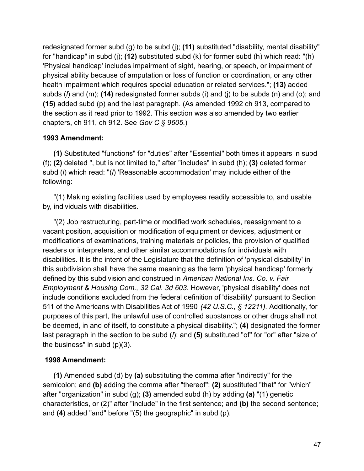redesignated former subd (g) to be subd (j); **(11)** substituted "disability, mental disability" for "handicap" in subd (j); **(12)** substituted subd (k) for former subd (h) which read: "(h) 'Physical handicap' includes impairment of sight, hearing, or speech, or impairment of physical ability because of amputation or loss of function or coordination, or any other health impairment which requires special education or related services."; **(13)** added subds (*l*) and (m); **(14)** redesignated former subds (i) and (j) to be subds (n) and (o); and **(15)** added subd (p) and the last paragraph. (As amended 1992 ch 913, compared to the section as it read prior to 1992. This section was also amended by two earlier chapters, ch 911, ch 912. See *Gov C § 9605*.)

#### **1993 Amendment:**

**(1)** Substituted "functions" for "duties" after "Essential" both times it appears in subd (f); **(2)** deleted ", but is not limited to," after "includes" in subd (h); **(3)** deleted former subd (*l*) which read: "(*l*) 'Reasonable accommodation' may include either of the following:

"(1) Making existing facilities used by employees readily accessible to, and usable by, individuals with disabilities.

"(2) Job restructuring, part-time or modified work schedules, reassignment to a vacant position, acquisition or modification of equipment or devices, adjustment or modifications of examinations, training materials or policies, the provision of qualified readers or interpreters, and other similar accommodations for individuals with disabilities. It is the intent of the Legislature that the definition of 'physical disability' in this subdivision shall have the same meaning as the term 'physical handicap' formerly defined by this subdivision and construed in *American National Ins. Co. v. Fair Employment & Housing Com., 32 Cal. 3d 603.* However, 'physical disability' does not include conditions excluded from the federal definition of 'disability' pursuant to Section 511 of the Americans with Disabilities Act of 1990 *(42 U.S.C., § 12211).* Additionally, for purposes of this part, the unlawful use of controlled substances or other drugs shall not be deemed, in and of itself, to constitute a physical disability."; **(4)** designated the former last paragraph in the section to be subd (*l*); and **(5)** substituted "of" for "or" after "size of the business" in subd (p)(3).

#### **1998 Amendment:**

**(1)** Amended subd (d) by **(a)** substituting the comma after "indirectly" for the semicolon; and **(b)** adding the comma after "thereof"; **(2)** substituted "that" for "which" after "organization" in subd (g); **(3)** amended subd (h) by adding **(a)** "(1) genetic characteristics, or (2)" after "include" in the first sentence; and **(b)** the second sentence; and **(4)** added "and" before "(5) the geographic" in subd (p).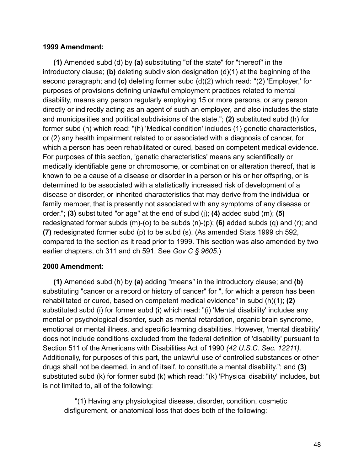#### **1999 Amendment:**

**(1)** Amended subd (d) by **(a)** substituting "of the state" for "thereof" in the introductory clause; **(b)** deleting subdivision designation (d)(1) at the beginning of the second paragraph; and **(c)** deleting former subd (d)(2) which read: "(2) 'Employer,' for purposes of provisions defining unlawful employment practices related to mental disability, means any person regularly employing 15 or more persons, or any person directly or indirectly acting as an agent of such an employer, and also includes the state and municipalities and political subdivisions of the state."; **(2)** substituted subd (h) for former subd (h) which read: "(h) 'Medical condition' includes (1) genetic characteristics, or (2) any health impairment related to or associated with a diagnosis of cancer, for which a person has been rehabilitated or cured, based on competent medical evidence. For purposes of this section, 'genetic characteristics' means any scientifically or medically identifiable gene or chromosome, or combination or alteration thereof, that is known to be a cause of a disease or disorder in a person or his or her offspring, or is determined to be associated with a statistically increased risk of development of a disease or disorder, or inherited characteristics that may derive from the individual or family member, that is presently not associated with any symptoms of any disease or order."; **(3)** substituted "or age" at the end of subd (j); **(4)** added subd (m); **(5)** redesignated former subds (m)-(o) to be subds (n)-(p); **(6)** added subds (q) and (r); and **(7)** redesignated former subd (p) to be subd (s). (As amended Stats 1999 ch 592, compared to the section as it read prior to 1999. This section was also amended by two earlier chapters, ch 311 and ch 591. See *Gov C § 9605*.)

#### **2000 Amendment:**

**(1)** Amended subd (h) by **(a)** adding "means" in the introductory clause; and **(b)** substituting "cancer or a record or history of cancer" for ", for which a person has been rehabilitated or cured, based on competent medical evidence" in subd (h)(1); **(2)** substituted subd (i) for former subd (i) which read: "(i) 'Mental disability' includes any mental or psychological disorder, such as mental retardation, organic brain syndrome, emotional or mental illness, and specific learning disabilities. However, 'mental disability' does not include conditions excluded from the federal definition of 'disability' pursuant to Section 511 of the Americans with Disabilities Act of 1990 *(42 U.S.C. Sec. 12211).* Additionally, for purposes of this part, the unlawful use of controlled substances or other drugs shall not be deemed, in and of itself, to constitute a mental disability."; and **(3)** substituted subd (k) for former subd (k) which read: "(k) 'Physical disability' includes, but is not limited to, all of the following:

"(1) Having any physiological disease, disorder, condition, cosmetic disfigurement, or anatomical loss that does both of the following: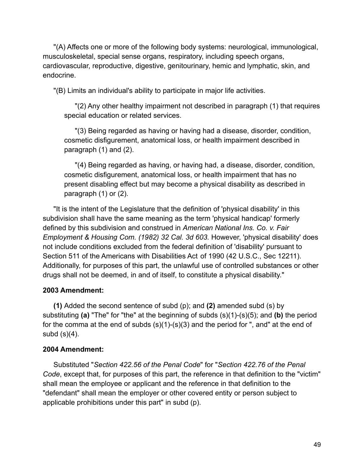"(A) Affects one or more of the following body systems: neurological, immunological, musculoskeletal, special sense organs, respiratory, including speech organs, cardiovascular, reproductive, digestive, genitourinary, hemic and lymphatic, skin, and endocrine.

"(B) Limits an individual's ability to participate in major life activities.

"(2) Any other healthy impairment not described in paragraph (1) that requires special education or related services.

"(3) Being regarded as having or having had a disease, disorder, condition, cosmetic disfigurement, anatomical loss, or health impairment described in paragraph (1) and (2).

"(4) Being regarded as having, or having had, a disease, disorder, condition, cosmetic disfigurement, anatomical loss, or health impairment that has no present disabling effect but may become a physical disability as described in paragraph (1) or (2).

"It is the intent of the Legislature that the definition of 'physical disability' in this subdivision shall have the same meaning as the term 'physical handicap' formerly defined by this subdivision and construed in *American National Ins. Co. v. Fair Employment & Housing Com. (1982) 32 Cal. 3d 603.* However, 'physical disability' does not include conditions excluded from the federal definition of 'disability' pursuant to Section 511 of the Americans with Disabilities Act of 1990 (42 U.S.C., Sec 12211). Additionally, for purposes of this part, the unlawful use of controlled substances or other drugs shall not be deemed, in and of itself, to constitute a physical disability."

#### **2003 Amendment:**

**(1)** Added the second sentence of subd (p); and **(2)** amended subd (s) by substituting **(a)** "The" for "the" at the beginning of subds (s)(1)-(s)(5); and **(b)** the period for the comma at the end of subds (s)(1)-(s)(3) and the period for ", and" at the end of subd (s)(4).

#### **2004 Amendment:**

Substituted "*Section 422.56 of the Penal Code*" for "*Section 422.76 of the Penal Code*, except that, for purposes of this part, the reference in that definition to the "victim" shall mean the employee or applicant and the reference in that definition to the "defendant" shall mean the employer or other covered entity or person subject to applicable prohibitions under this part" in subd (p).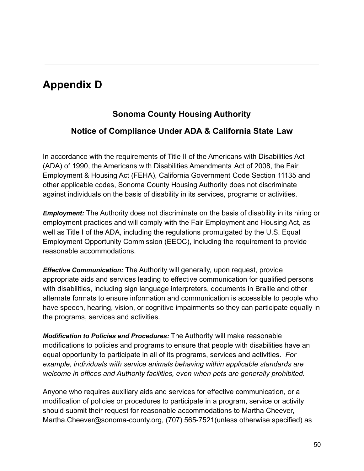## **Appendix D**

### **Sonoma County Housing Authority**

### **Notice of Compliance Under ADA & California State Law**

In accordance with the requirements of Title II of the Americans with Disabilities Act (ADA) of 1990, the Americans with Disabilities Amendments Act of 2008, the Fair Employment & Housing Act (FEHA), California Government Code Section 11135 and other applicable codes, Sonoma County Housing Authority does not discriminate against individuals on the basis of disability in its services, programs or activities.

*Employment:* The Authority does not discriminate on the basis of disability in its hiring or employment practices and will comply with the Fair Employment and Housing Act, as well as Title I of the ADA, including the regulations promulgated by the U.S. Equal Employment Opportunity Commission (EEOC), including the requirement to provide reasonable accommodations.

*Effective Communication:* The Authority will generally, upon request, provide appropriate aids and services leading to effective communication for qualified persons with disabilities, including sign language interpreters, documents in Braille and other alternate formats to ensure information and communication is accessible to people who have speech, hearing, vision, or cognitive impairments so they can participate equally in the programs, services and activities.

 *Modification to Policies and Procedures:* The Authority will make reasonable modifications to policies and programs to ensure that people with disabilities have an equal opportunity to participate in all of its programs, services and activities. *For example, individuals with service animals behaving within applicable standards are welcome in offices and Authority facilities, even when pets are generally prohibited.*

Anyone who requires auxiliary aids and services for effective communication, or a modification of policies or procedures to participate in a program, service or activity should submit their request for reasonable accommodations to Martha Cheever, [Martha.Cheever@sonoma-county.org](mailto:Martha.Cheever@sonoma-county.org), (707) 565-7521(unless otherwise specified) as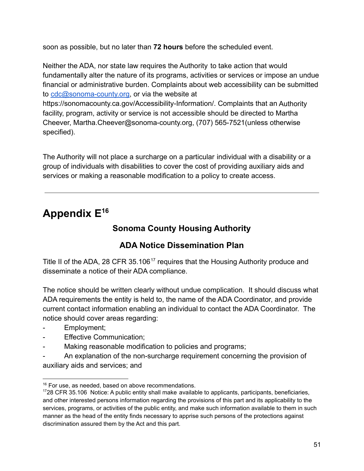soon as possible, but no later than **72 hours** before the scheduled event.

Neither the ADA, nor state law requires the Authority to take action that would fundamentally alter the nature of its programs, activities or services or impose an undue financial or administrative burden. Complaints about web accessibility can be submitted to [cdc@sonoma-county.org](mailto:cdc@sonoma-county.org), or via the website at

[https://sonomacounty.ca.gov/Accessibility-Information/](https://sonomacounty.ca.gov/Accessibility-Information). Complaints that an Authority facility, program, activity or service is not accessible should be directed to Martha Cheever, [Martha.Cheever@sonoma-county.org](mailto:Martha.Cheever@sonoma-county.org), (707) 565-7521(unless otherwise specified).

The Authority will not place a surcharge on a particular individual with a disability or a group of individuals with disabilities to cover the cost of providing auxiliary aids and services or making a reasonable modification to a policy to create access.

# **Appendix E16**

### **Sonoma County Housing Authority**

### **ADA Notice Dissemination Plan**

Title II of the ADA, 28 CFR 35.106<sup>17</sup> requires that the Housing Authority produce and disseminate a notice of their ADA compliance.

The notice should be written clearly without undue complication. It should discuss what ADA requirements the entity is held to, the name of the ADA Coordinator, and provide current contact information enabling an individual to contact the ADA Coordinator. The notice should cover areas regarding:

- Employment;
- **Effective Communication;**
- Making reasonable modification to policies and programs;

An explanation of the non-surcharge requirement concerning the provision of auxiliary aids and services; and

<sup>&</sup>lt;sup>16</sup> For use, as needed, based on above recommendations.

 $1728$  CFR 35.106 Notice: A public entity shall make available to applicants, participants, beneficiaries, and other interested persons information regarding the provisions of this part and its applicability to the services, programs, or activities of the public entity, and make such information available to them in such manner as the head of the entity finds necessary to apprise such persons of the protections against discrimination assured them by the Act and this part.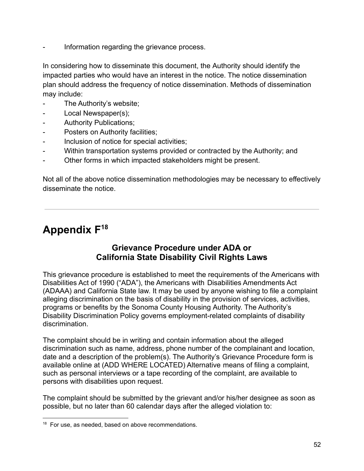Information regarding the grievance process.

In considering how to disseminate this document, the Authority should identify the impacted parties who would have an interest in the notice. The notice dissemination plan should address the frequency of notice dissemination. Methods of dissemination may include:

- The Authority's website;
- Local Newspaper(s);
- Authority Publications;
- Posters on Authority facilities;
- Inclusion of notice for special activities;
- Within transportation systems provided or contracted by the Authority; and
- Other forms in which impacted stakeholders might be present.

Not all of the above notice dissemination methodologies may be necessary to effectively disseminate the notice.

# **Appendix F18**

### **Grievance Procedure under ADA or California State Disability Civil Rights Laws**

This grievance procedure is established to meet the requirements of the Americans with Disabilities Act of 1990 ("ADA"), the Americans with Disabilities Amendments Act (ADAAA) and California State law. It may be used by anyone wishing to file a complaint alleging discrimination on the basis of disability in the provision of services, activities, programs or benefits by the Sonoma County Housing Authority. The Authority's Disability Discrimination Policy governs employment-related complaints of disability discrimination.

The complaint should be in writing and contain information about the alleged discrimination such as name, address, phone number of the complainant and location, date and a description of the problem(s). The Authority's Grievance Procedure form is available online at (ADD WHERE LOCATED) Alternative means of filing a complaint, such as personal interviews or a tape recording of the complaint, are available to persons with disabilities upon request.

The complaint should be submitted by the grievant and/or his/her designee as soon as possible, but no later than 60 calendar days after the alleged violation to:

 $18$  For use, as needed, based on above recommendations.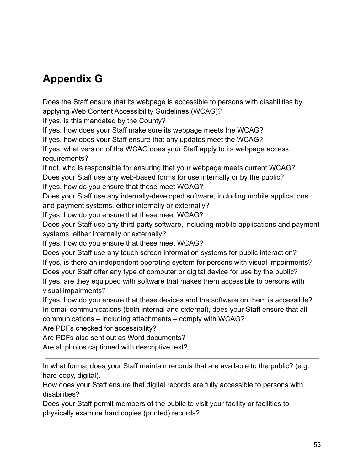# **Appendix G**

disabilities?

Does the Staff ensure that its webpage is accessible to persons with disabilities by applying Web Content Accessibility Guidelines (WCAG)? If yes, is this mandated by the County? If yes, how does your Staff make sure its webpage meets the WCAG? If yes, how does your Staff ensure that any updates meet the WCAG? If yes, what version of the WCAG does your Staff apply to its webpage access requirements? If not, who is responsible for ensuring that your webpage meets current WCAG? Does your Staff use any web-based forms for use internally or by the public? If yes, how do you ensure that these meet WCAG? Does your Staff use any internally-developed software, including mobile applications and payment systems, either internally or externally? If yes, how do you ensure that these meet WCAG? Does your Staff use any third party software, including mobile applications and payment systems, either internally or externally? If yes, how do you ensure that these meet WCAG? Does your Staff use any touch screen information systems for public interaction? If yes, is there an independent operating system for persons with visual impairments? Does your Staff offer any type of computer or digital device for use by the public? If yes, are they equipped with software that makes them accessible to persons with visual impairments? If yes, how do you ensure that these devices and the software on them is accessible? In email communications (both internal and external), does your Staff ensure that all communications – including attachments – comply with WCAG? Are PDFs checked for accessibility? Are PDFs also sent out as Word documents? Are all photos captioned with descriptive text? In what format does your Staff maintain records that are available to the public? (e.g. hard copy, digital). How does your Staff ensure that digital records are fully accessible to persons with

Does your Staff permit members of the public to visit your facility or facilities to physically examine hard copies (printed) records?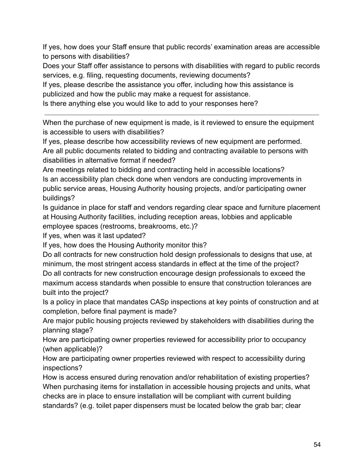If yes, how does your Staff ensure that public records' examination areas are accessible to persons with disabilities?

Does your Staff offer assistance to persons with disabilities with regard to public records services, e.g. filing, requesting documents, reviewing documents?

If yes, please describe the assistance you offer, including how this assistance is publicized and how the public may make a request for assistance.

Is there anything else you would like to add to your responses here?

When the purchase of new equipment is made, is it reviewed to ensure the equipment is accessible to users with disabilities?

If yes, please describe how accessibility reviews of new equipment are performed. Are all public documents related to bidding and contracting available to persons with disabilities in alternative format if needed?

Are meetings related to bidding and contracting held in accessible locations? Is an accessibility plan check done when vendors are conducting improvements in public service areas, Housing Authority housing projects, and/or participating owner buildings?

Is guidance in place for staff and vendors regarding clear space and furniture placement at Housing Authority facilities, including reception areas, lobbies and applicable employee spaces (restrooms, breakrooms, etc.)?

If yes, when was it last updated?

If yes, how does the Housing Authority monitor this?

Do all contracts for new construction hold design professionals to designs that use, at minimum, the most stringent access standards in effect at the time of the project? Do all contracts for new construction encourage design professionals to exceed the maximum access standards when possible to ensure that construction tolerances are built into the project?

Is a policy in place that mandates CASp inspections at key points of construction and at completion, before final payment is made?

Are major public housing projects reviewed by stakeholders with disabilities during the planning stage?

How are participating owner properties reviewed for accessibility prior to occupancy (when applicable)?

How are participating owner properties reviewed with respect to accessibility during inspections?

How is access ensured during renovation and/or rehabilitation of existing properties? When purchasing items for installation in accessible housing projects and units, what checks are in place to ensure installation will be compliant with current building standards? (e.g. toilet paper dispensers must be located below the grab bar; clear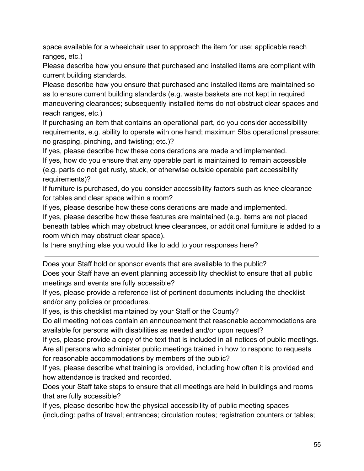space available for a wheelchair user to approach the item for use; applicable reach ranges, etc.)

Please describe how you ensure that purchased and installed items are compliant with current building standards.

Please describe how you ensure that purchased and installed items are maintained so as to ensure current building standards (e.g. waste baskets are not kept in required maneuvering clearances; subsequently installed items do not obstruct clear spaces and reach ranges, etc.)

If purchasing an item that contains an operational part, do you consider accessibility requirements, e.g. ability to operate with one hand; maximum 5lbs operational pressure; no grasping, pinching, and twisting; etc.)?

If yes, please describe how these considerations are made and implemented.

If yes, how do you ensure that any operable part is maintained to remain accessible (e.g. parts do not get rusty, stuck, or otherwise outside operable part accessibility requirements)?

If furniture is purchased, do you consider accessibility factors such as knee clearance for tables and clear space within a room?

If yes, please describe how these considerations are made and implemented.

If yes, please describe how these features are maintained (e.g. items are not placed beneath tables which may obstruct knee clearances, or additional furniture is added to a room which may obstruct clear space).

Is there anything else you would like to add to your responses here?

Does your Staff hold or sponsor events that are available to the public? Does your Staff have an event planning accessibility checklist to ensure that all public meetings and events are fully accessible?

If yes, please provide a reference list of pertinent documents including the checklist and/or any policies or procedures.

If yes, is this checklist maintained by your Staff or the County?

Do all meeting notices contain an announcement that reasonable accommodations are available for persons with disabilities as needed and/or upon request?

If yes, please provide a copy of the text that is included in all notices of public meetings. Are all persons who administer public meetings trained in how to respond to requests for reasonable accommodations by members of the public?

If yes, please describe what training is provided, including how often it is provided and how attendance is tracked and recorded.

Does your Staff take steps to ensure that all meetings are held in buildings and rooms that are fully accessible?

If yes, please describe how the physical accessibility of public meeting spaces (including: paths of travel; entrances; circulation routes; registration counters or tables;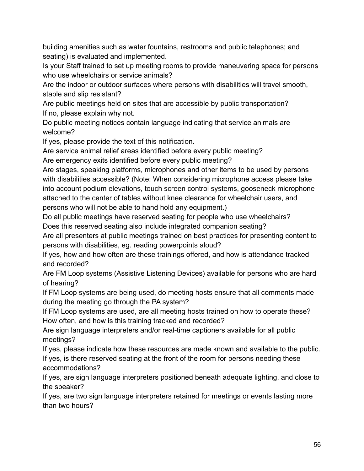building amenities such as water fountains, restrooms and public telephones; and seating) is evaluated and implemented.

Is your Staff trained to set up meeting rooms to provide maneuvering space for persons who use wheelchairs or service animals?

Are the indoor or outdoor surfaces where persons with disabilities will travel smooth, stable and slip resistant?

Are public meetings held on sites that are accessible by public transportation? If no, please explain why not.

Do public meeting notices contain language indicating that service animals are welcome?

If yes, please provide the text of this notification.

Are service animal relief areas identified before every public meeting?

Are emergency exits identified before every public meeting?

Are stages, speaking platforms, microphones and other items to be used by persons with disabilities accessible? (Note: When considering microphone access please take into account podium elevations, touch screen control systems, gooseneck microphone attached to the center of tables without knee clearance for wheelchair users, and persons who will not be able to hand hold any equipment.)

Do all public meetings have reserved seating for people who use wheelchairs? Does this reserved seating also include integrated companion seating?

Are all presenters at public meetings trained on best practices for presenting content to persons with disabilities, eg. reading powerpoints aloud?

If yes, how and how often are these trainings offered, and how is attendance tracked and recorded?

Are FM Loop systems (Assistive Listening Devices) available for persons who are hard of hearing?

If FM Loop systems are being used, do meeting hosts ensure that all comments made during the meeting go through the PA system?

If FM Loop systems are used, are all meeting hosts trained on how to operate these? How often, and how is this training tracked and recorded?

Are sign language interpreters and/or real-time captioners available for all public meetings?

If yes, please indicate how these resources are made known and available to the public. If yes, is there reserved seating at the front of the room for persons needing these accommodations?

If yes, are sign language interpreters positioned beneath adequate lighting, and close to the speaker?

If yes, are two sign language interpreters retained for meetings or events lasting more than two hours?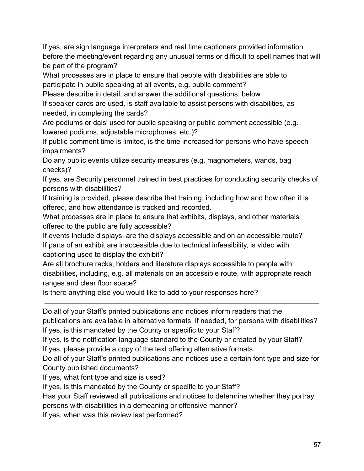If yes, are sign language interpreters and real time captioners provided information before the meeting/event regarding any unusual terms or difficult to spell names that will be part of the program?

What processes are in place to ensure that people with disabilities are able to participate in public speaking at all events, e.g. public comment?

Please describe in detail, and answer the additional questions, below.

If speaker cards are used, is staff available to assist persons with disabilities, as needed, in completing the cards?

Are podiums or dais' used for public speaking or public comment accessible (e.g. lowered podiums, adjustable microphones, etc.)?

If public comment time is limited, is the time increased for persons who have speech impairments?

Do any public events utilize security measures (e.g. magnometers, wands, bag checks)?

If yes, are Security personnel trained in best practices for conducting security checks of persons with disabilities?

If training is provided, please describe that training, including how and how often it is offered, and how attendance is tracked and recorded.

What processes are in place to ensure that exhibits, displays, and other materials offered to the public are fully accessible?

If events include displays, are the displays accessible and on an accessible route? If parts of an exhibit are inaccessible due to technical infeasibility, is video with captioning used to display the exhibit?

Are all brochure racks, holders and literature displays accessible to people with disabilities, including, e.g. all materials on an accessible route, with appropriate reach ranges and clear floor space?

Is there anything else you would like to add to your responses here?

Do all of your Staff's printed publications and notices inform readers that the publications are available in alternative formats, if needed, for persons with disabilities?

If yes, is this mandated by the County or specific to your Staff?

If yes, is the notification language standard to the County or created by your Staff? If yes, please provide a copy of the text offering alternative formats.

Do all of your Staff's printed publications and notices use a certain font type and size for County published documents?

If yes, what font type and size is used?

If yes, is this mandated by the County or specific to your Staff?

Has your Staff reviewed all publications and notices to determine whether they portray

persons with disabilities in a demeaning or offensive manner?

If yes, when was this review last performed?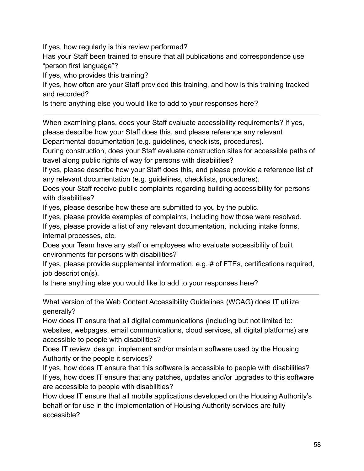If yes, how regularly is this review performed?

Has your Staff been trained to ensure that all publications and correspondence use "person first language"?

If yes, who provides this training?

If yes, how often are your Staff provided this training, and how is this training tracked and recorded?

Is there anything else you would like to add to your responses here?

When examining plans, does your Staff evaluate accessibility requirements? If yes, please describe how your Staff does this, and please reference any relevant

Departmental documentation (e.g. guidelines, checklists, procedures).

During construction, does your Staff evaluate construction sites for accessible paths of travel along public rights of way for persons with disabilities?

If yes, please describe how your Staff does this, and please provide a reference list of any relevant documentation (e.g. guidelines, checklists, procedures).

Does your Staff receive public complaints regarding building accessibility for persons with disabilities?

If yes, please describe how these are submitted to you by the public.

If yes, please provide examples of complaints, including how those were resolved.

If yes, please provide a list of any relevant documentation, including intake forms, internal processes, etc.

Does your Team have any staff or employees who evaluate accessibility of built environments for persons with disabilities?

If yes, please provide supplemental information, e.g. # of FTEs, certifications required, job description(s).

Is there anything else you would like to add to your responses here?

What version of the Web Content Accessibility Guidelines (WCAG) does IT utilize, generally?

How does IT ensure that all digital communications (including but not limited to: websites, webpages, email communications, cloud services, all digital platforms) are accessible to people with disabilities?

Does IT review, design, implement and/or maintain software used by the Housing Authority or the people it services?

If yes, how does IT ensure that this software is accessible to people with disabilities? If yes, how does IT ensure that any patches, updates and/or upgrades to this software are accessible to people with disabilities?

How does IT ensure that all mobile applications developed on the Housing Authority's behalf or for use in the implementation of Housing Authority services are fully accessible?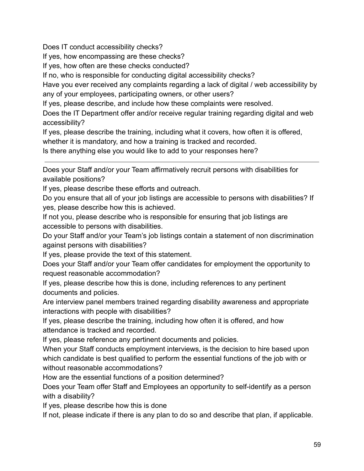Does IT conduct accessibility checks?

If yes, how encompassing are these checks?

If yes, how often are these checks conducted?

If no, who is responsible for conducting digital accessibility checks?

Have you ever received any complaints regarding a lack of digital / web accessibility by any of your employees, participating owners, or other users?

If yes, please describe, and include how these complaints were resolved.

Does the IT Department offer and/or receive regular training regarding digital and web accessibility?

If yes, please describe the training, including what it covers, how often it is offered,

whether it is mandatory, and how a training is tracked and recorded.

Is there anything else you would like to add to your responses here?

Does your Staff and/or your Team affirmatively recruit persons with disabilities for available positions?

If yes, please describe these efforts and outreach.

Do you ensure that all of your job listings are accessible to persons with disabilities? If yes, please describe how this is achieved.

If not you, please describe who is responsible for ensuring that job listings are accessible to persons with disabilities.

Do your Staff and/or your Team's job listings contain a statement of non discrimination against persons with disabilities?

If yes, please provide the text of this statement.

Does your Staff and/or your Team offer candidates for employment the opportunity to request reasonable accommodation?

If yes, please describe how this is done, including references to any pertinent documents and policies.

Are interview panel members trained regarding disability awareness and appropriate interactions with people with disabilities?

If yes, please describe the training, including how often it is offered, and how attendance is tracked and recorded.

If yes, please reference any pertinent documents and policies.

When your Staff conducts employment interviews, is the decision to hire based upon which candidate is best qualified to perform the essential functions of the job with or without reasonable accommodations?

How are the essential functions of a position determined?

Does your Team offer Staff and Employees an opportunity to self-identify as a person with a disability?

If yes, please describe how this is done

If not, please indicate if there is any plan to do so and describe that plan, if applicable.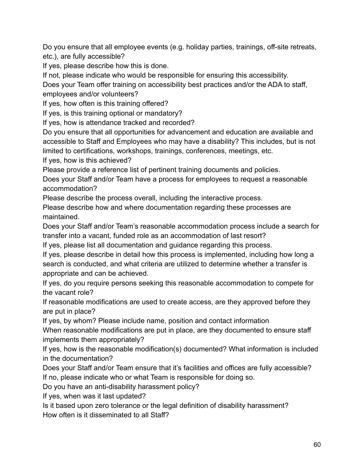Do you ensure that all employee events (e.g. holiday parties, trainings, off-site retreats, etc.), are fully accessible?

If yes, please describe how this is done.

If not, please indicate who would be responsible for ensuring this accessibility.

Does your Team offer training on accessibility best practices and/or the ADA to staff, employees and/or volunteers?

If yes, how often is this training offered?

If yes, is this training optional or mandatory?

If yes, how is attendance tracked and recorded?

Do you ensure that all opportunities for advancement and education are available and accessible to Staff and Employees who may have a disability? This includes, but is not limited to certifications, workshops, trainings, conferences, meetings, etc.

If yes, how is this achieved?

Please provide a reference list of pertinent training documents and policies.

Does your Staff and/or Team have a process for employees to request a reasonable accommodation?

Please describe the process overall, including the interactive process.

Please describe how and where documentation regarding these processes are maintained.

Does your Staff and/or Team's reasonable accommodation process include a search for transfer into a vacant, funded role as an accommodation of last resort?

If yes, please list all documentation and guidance regarding this process.

If yes, please describe in detail how this process is implemented, including how long a search is conducted, and what criteria are utilized to determine whether a transfer is appropriate and can be achieved.

If yes, do you require persons seeking this reasonable accommodation to compete for the vacant role?

If reasonable modifications are used to create access, are they approved before they are put in place?

If yes, by whom? Please include name, position and contact information

When reasonable modifications are put in place, are they documented to ensure staff implements them appropriately?

If yes, how is the reasonable modification(s) documented? What information is included in the documentation?

Does your Staff and/or Team ensure that it's facilities and offices are fully accessible? If no, please indicate who or what Team is responsible for doing so.

Do you have an anti-disability harassment policy?

If yes, when was it last updated?

Is it based upon zero tolerance or the legal definition of disability harassment? How often is it disseminated to all Staff?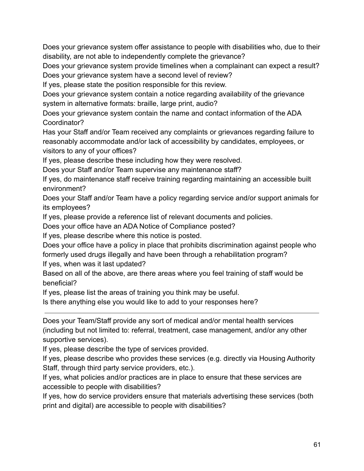Does your grievance system offer assistance to people with disabilities who, due to their disability, are not able to independently complete the grievance?

Does your grievance system provide timelines when a complainant can expect a result? Does your grievance system have a second level of review?

If yes, please state the position responsible for this review.

Does your grievance system contain a notice regarding availability of the grievance system in alternative formats: braille, large print, audio?

Does your grievance system contain the name and contact information of the ADA Coordinator?

Has your Staff and/or Team received any complaints or grievances regarding failure to reasonably accommodate and/or lack of accessibility by candidates, employees, or visitors to any of your offices?

If yes, please describe these including how they were resolved.

Does your Staff and/or Team supervise any maintenance staff?

If yes, do maintenance staff receive training regarding maintaining an accessible built environment?

Does your Staff and/or Team have a policy regarding service and/or support animals for its employees?

If yes, please provide a reference list of relevant documents and policies.

Does your office have an ADA Notice of Compliance posted?

If yes, please describe where this notice is posted.

Does your office have a policy in place that prohibits discrimination against people who formerly used drugs illegally and have been through a rehabilitation program?

If yes, when was it last updated?

Based on all of the above, are there areas where you feel training of staff would be beneficial?

If yes, please list the areas of training you think may be useful.

Is there anything else you would like to add to your responses here?

Does your Team/Staff provide any sort of medical and/or mental health services (including but not limited to: referral, treatment, case management, and/or any other supportive services).

If yes, please describe the type of services provided.

If yes, please describe who provides these services (e.g. directly via Housing Authority Staff, through third party service providers, etc.).

If yes, what policies and/or practices are in place to ensure that these services are accessible to people with disabilities?

If yes, how do service providers ensure that materials advertising these services (both print and digital) are accessible to people with disabilities?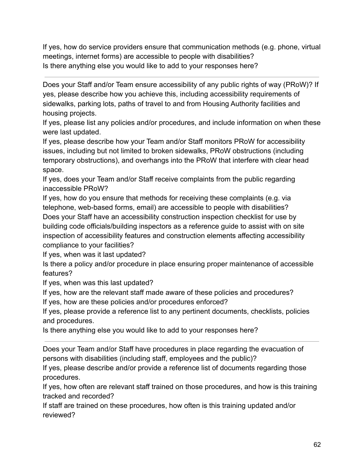If yes, how do service providers ensure that communication methods (e.g. phone, virtual meetings, internet forms) are accessible to people with disabilities? Is there anything else you would like to add to your responses here?

Does your Staff and/or Team ensure accessibility of any public rights of way (PRoW)? If yes, please describe how you achieve this, including accessibility requirements of sidewalks, parking lots, paths of travel to and from Housing Authority facilities and housing projects.

If yes, please list any policies and/or procedures, and include information on when these were last updated.

If yes, please describe how your Team and/or Staff monitors PRoW for accessibility issues, including but not limited to broken sidewalks, PRoW obstructions (including temporary obstructions), and overhangs into the PRoW that interfere with clear head space.

If yes, does your Team and/or Staff receive complaints from the public regarding inaccessible PRoW?

If yes, how do you ensure that methods for receiving these complaints (e.g. via telephone, web-based forms, email) are accessible to people with disabilities? Does your Staff have an accessibility construction inspection checklist for use by building code officials/building inspectors as a reference guide to assist with on site inspection of accessibility features and construction elements affecting accessibility compliance to your facilities?

If yes, when was it last updated?

Is there a policy and/or procedure in place ensuring proper maintenance of accessible features?

If yes, when was this last updated?

If yes, how are the relevant staff made aware of these policies and procedures?

If yes, how are these policies and/or procedures enforced?

If yes, please provide a reference list to any pertinent documents, checklists, policies and procedures.

Is there anything else you would like to add to your responses here?

Does your Team and/or Staff have procedures in place regarding the evacuation of persons with disabilities (including staff, employees and the public)?

If yes, please describe and/or provide a reference list of documents regarding those procedures.

If yes, how often are relevant staff trained on those procedures, and how is this training tracked and recorded?

If staff are trained on these procedures, how often is this training updated and/or reviewed?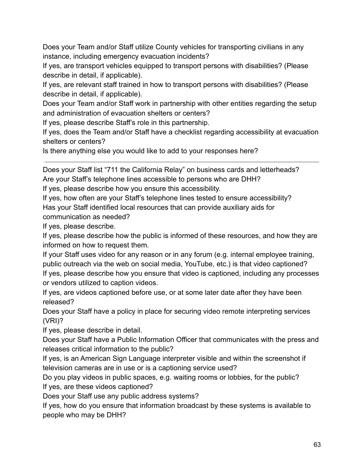Does your Team and/or Staff utilize County vehicles for transporting civilians in any instance, including emergency evacuation incidents?

If yes, are transport vehicles equipped to transport persons with disabilities? (Please describe in detail, if applicable).

If yes, are relevant staff trained in how to transport persons with disabilities? (Please describe in detail, if applicable).

Does your Team and/or Staff work in partnership with other entities regarding the setup and administration of evacuation shelters or centers?

If yes, please describe Staff's role in this partnership.

If yes, does the Team and/or Staff have a checklist regarding accessibility at evacuation shelters or centers?

Is there anything else you would like to add to your responses here?

Does your Staff list "711 the California Relay" on business cards and letterheads? Are your Staff's telephone lines accessible to persons who are DHH?

If yes, please describe how you ensure this accessibility.

If yes, how often are your Staff's telephone lines tested to ensure accessibility? Has your Staff identified local resources that can provide auxiliary aids for communication as needed?

If yes, please describe.

If yes, please describe how the public is informed of these resources, and how they are informed on how to request them.

If your Staff uses video for any reason or in any forum (e.g. internal employee training, public outreach via the web on social media, YouTube, etc.) is that video captioned? If yes, please describe how you ensure that video is captioned, including any processes or vendors utilized to caption videos.

If yes, are videos captioned before use, or at some later date after they have been released?

Does your Staff have a policy in place for securing video remote interpreting services (VRI)?

If yes, please describe in detail.

Does your Staff have a Public Information Officer that communicates with the press and releases critical information to the public?

If yes, is an American Sign Language interpreter visible and within the screenshot if television cameras are in use or is a captioning service used?

Do you play videos in public spaces, e.g. waiting rooms or lobbies, for the public? If yes, are these videos captioned?

Does your Staff use any public address systems?

If yes, how do you ensure that information broadcast by these systems is available to people who may be DHH?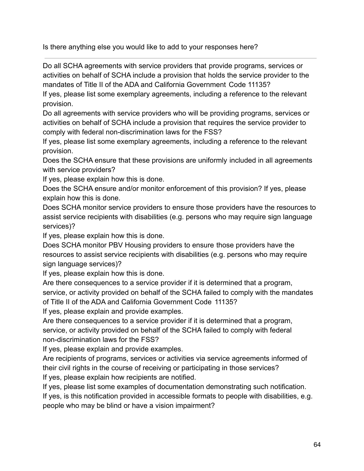Is there anything else you would like to add to your responses here?

Do all SCHA agreements with service providers that provide programs, services or activities on behalf of SCHA include a provision that holds the service provider to the mandates of Title II of the ADA and California Government Code 11135?

If yes, please list some exemplary agreements, including a reference to the relevant provision.

Do all agreements with service providers who will be providing programs, services or activities on behalf of SCHA include a provision that requires the service provider to comply with federal non-discrimination laws for the FSS?

If yes, please list some exemplary agreements, including a reference to the relevant provision.

Does the SCHA ensure that these provisions are uniformly included in all agreements with service providers?

If yes, please explain how this is done.

Does the SCHA ensure and/or monitor enforcement of this provision? If yes, please explain how this is done.

Does SCHA monitor service providers to ensure those providers have the resources to assist service recipients with disabilities (e.g. persons who may require sign language services)?

If yes, please explain how this is done.

Does SCHA monitor PBV Housing providers to ensure those providers have the resources to assist service recipients with disabilities (e.g. persons who may require sign language services)?

If yes, please explain how this is done.

Are there consequences to a service provider if it is determined that a program, service, or activity provided on behalf of the SCHA failed to comply with the mandates of Title II of the ADA and California Government Code 11135?

If yes, please explain and provide examples.

Are there consequences to a service provider if it is determined that a program, service, or activity provided on behalf of the SCHA failed to comply with federal non-discrimination laws for the FSS?

If yes, please explain and provide examples.

Are recipients of programs, services or activities via service agreements informed of their civil rights in the course of receiving or participating in those services?

If yes, please explain how recipients are notified.

If yes, please list some examples of documentation demonstrating such notification.

If yes, is this notification provided in accessible formats to people with disabilities, e.g. people who may be blind or have a vision impairment?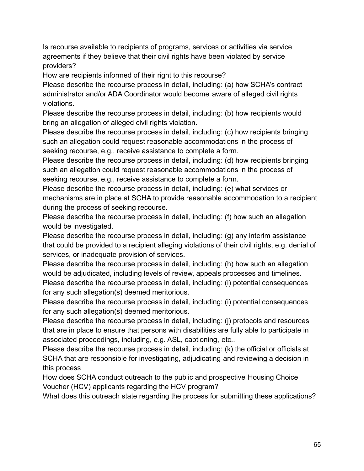Is recourse available to recipients of programs, services or activities via service agreements if they believe that their civil rights have been violated by service providers?

How are recipients informed of their right to this recourse?

Please describe the recourse process in detail, including: (a) how SCHA's contract administrator and/or ADA Coordinator would become aware of alleged civil rights violations.

Please describe the recourse process in detail, including: (b) how recipients would bring an allegation of alleged civil rights violation.

Please describe the recourse process in detail, including: (c) how recipients bringing such an allegation could request reasonable accommodations in the process of seeking recourse, e.g., receive assistance to complete a form.

Please describe the recourse process in detail, including: (d) how recipients bringing such an allegation could request reasonable accommodations in the process of seeking recourse, e.g., receive assistance to complete a form.

Please describe the recourse process in detail, including: (e) what services or mechanisms are in place at SCHA to provide reasonable accommodation to a recipient during the process of seeking recourse.

Please describe the recourse process in detail, including: (f) how such an allegation would be investigated.

Please describe the recourse process in detail, including: (g) any interim assistance that could be provided to a recipient alleging violations of their civil rights, e.g. denial of services, or inadequate provision of services.

Please describe the recourse process in detail, including: (h) how such an allegation would be adjudicated, including levels of review, appeals processes and timelines. Please describe the recourse process in detail, including: (i) potential consequences for any such allegation(s) deemed meritorious.

Please describe the recourse process in detail, including: (i) potential consequences for any such allegation(s) deemed meritorious.

Please describe the recourse process in detail, including: (j) protocols and resources that are in place to ensure that persons with disabilities are fully able to participate in associated proceedings, including, e.g. ASL, captioning, etc..

Please describe the recourse process in detail, including: (k) the official or officials at SCHA that are responsible for investigating, adjudicating and reviewing a decision in this process

How does SCHA conduct outreach to the public and prospective Housing Choice Voucher (HCV) applicants regarding the HCV program?

What does this outreach state regarding the process for submitting these applications?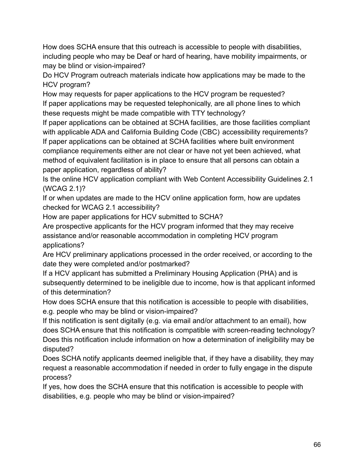How does SCHA ensure that this outreach is accessible to people with disabilities, including people who may be Deaf or hard of hearing, have mobility impairments, or may be blind or vision-impaired?

Do HCV Program outreach materials indicate how applications may be made to the HCV program?

How may requests for paper applications to the HCV program be requested? If paper applications may be requested telephonically, are all phone lines to which these requests might be made compatible with TTY technology?

If paper applications can be obtained at SCHA facilities, are those facilities compliant with applicable ADA and California Building Code (CBC) accessibility requirements? If paper applications can be obtained at SCHA facilities where built environment compliance requirements either are not clear or have not yet been achieved, what method of equivalent facilitation is in place to ensure that all persons can obtain a paper application, regardless of ability?

Is the online HCV application compliant with Web Content Accessibility Guidelines 2.1 (WCAG 2.1)?

If or when updates are made to the HCV online application form, how are updates checked for WCAG 2.1 accessibility?

How are paper applications for HCV submitted to SCHA?

Are prospective applicants for the HCV program informed that they may receive assistance and/or reasonable accommodation in completing HCV program applications?

Are HCV preliminary applications processed in the order received, or according to the date they were completed and/or postmarked?

If a HCV applicant has submitted a Preliminary Housing Application (PHA) and is subsequently determined to be ineligible due to income, how is that applicant informed of this determination?

How does SCHA ensure that this notification is accessible to people with disabilities, e.g. people who may be blind or vision-impaired?

If this notification is sent digitally (e.g. via email and/or attachment to an email), how does SCHA ensure that this notification is compatible with screen-reading technology? Does this notification include information on how a determination of ineligibility may be disputed?

Does SCHA notify applicants deemed ineligible that, if they have a disability, they may request a reasonable accommodation if needed in order to fully engage in the dispute process?

If yes, how does the SCHA ensure that this notification is accessible to people with disabilities, e.g. people who may be blind or vision-impaired?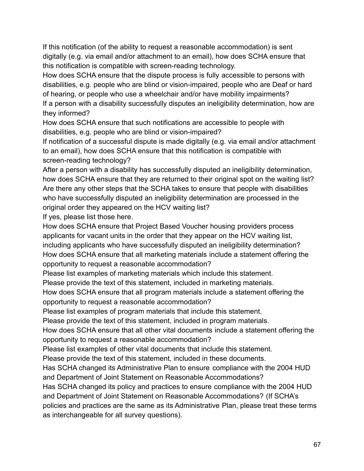If this notification (of the ability to request a reasonable accommodation) is sent digitally (e.g. via email and/or attachment to an email), how does SCHA ensure that this notification is compatible with screen-reading technology.

How does SCHA ensure that the dispute process is fully accessible to persons with disabilities, e.g. people who are blind or vision-impaired, people who are Deaf or hard of hearing, or people who use a wheelchair and/or have mobility impairments? If a person with a disability successfully disputes an ineligibility determination, how are

they informed?

How does SCHA ensure that such notifications are accessible to people with disabilities, e.g. people who are blind or vision-impaired?

If notification of a successful dispute is made digitally (e.g. via email and/or attachment to an email), how does SCHA ensure that this notification is compatible with screen-reading technology?

After a person with a disability has successfully disputed an ineligibility determination, how does SCHA ensure that they are returned to their original spot on the waiting list? Are there any other steps that the SCHA takes to ensure that people with disabilities who have successfully disputed an ineligibility determination are processed in the original order they appeared on the HCV waiting list?

If yes, please list those here.

How does SCHA ensure that Project Based Voucher housing providers process applicants for vacant units in the order that they appear on the HCV waiting list, including applicants who have successfully disputed an ineligibility determination? How does SCHA ensure that all marketing materials include a statement offering the opportunity to request a reasonable accommodation?

Please list examples of marketing materials which include this statement.

Please provide the text of this statement, included in marketing materials.

How does SCHA ensure that all program materials include a statement offering the opportunity to request a reasonable accommodation?

Please list examples of program materials that include this statement.

Please provide the text of this statement, included in program materials.

How does SCHA ensure that all other vital documents include a statement offering the opportunity to request a reasonable accommodation?

Please list examples of other vital documents that include this statement.

Please provide the text of this statement, included in these documents.

Has SCHA changed its Administrative Plan to ensure compliance with the 2004 HUD and Department of Joint Statement on Reasonable Accommodations?

Has SCHA changed its policy and practices to ensure compliance with the 2004 HUD and Department of Joint Statement on Reasonable Accommodations? (If SCHA's policies and practices are the same as its Administrative Plan, please treat these terms as interchangeable for all survey questions).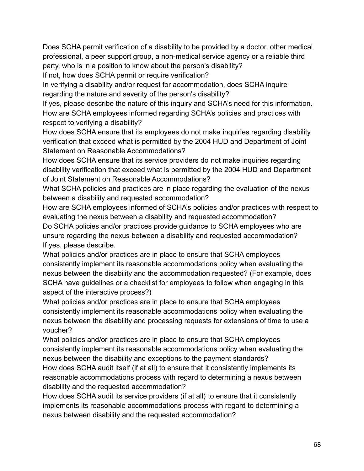Does SCHA permit verification of a disability to be provided by a doctor, other medical professional, a peer support group, a non-medical service agency or a reliable third party, who is in a position to know about the person's disability?

If not, how does SCHA permit or require verification?

In verifying a disability and/or request for accommodation, does SCHA inquire regarding the nature and severity of the person's disability?

If yes, please describe the nature of this inquiry and SCHA's need for this information. How are SCHA employees informed regarding SCHA's policies and practices with respect to verifying a disability?

How does SCHA ensure that its employees do not make inquiries regarding disability verification that exceed what is permitted by the 2004 HUD and Department of Joint Statement on Reasonable Accommodations?

How does SCHA ensure that its service providers do not make inquiries regarding disability verification that exceed what is permitted by the 2004 HUD and Department of Joint Statement on Reasonable Accommodations?

What SCHA policies and practices are in place regarding the evaluation of the nexus between a disability and requested accommodation?

How are SCHA employees informed of SCHA's policies and/or practices with respect to evaluating the nexus between a disability and requested accommodation?

Do SCHA policies and/or practices provide guidance to SCHA employees who are unsure regarding the nexus between a disability and requested accommodation? If yes, please describe.

What policies and/or practices are in place to ensure that SCHA employees consistently implement its reasonable accommodations policy when evaluating the nexus between the disability and the accommodation requested? (For example, does SCHA have guidelines or a checklist for employees to follow when engaging in this aspect of the interactive process?)

What policies and/or practices are in place to ensure that SCHA employees consistently implement its reasonable accommodations policy when evaluating the nexus between the disability and processing requests for extensions of time to use a voucher?

What policies and/or practices are in place to ensure that SCHA employees consistently implement its reasonable accommodations policy when evaluating the nexus between the disability and exceptions to the payment standards?

How does SCHA audit itself (if at all) to ensure that it consistently implements its reasonable accommodations process with regard to determining a nexus between disability and the requested accommodation?

How does SCHA audit its service providers (if at all) to ensure that it consistently implements its reasonable accommodations process with regard to determining a nexus between disability and the requested accommodation?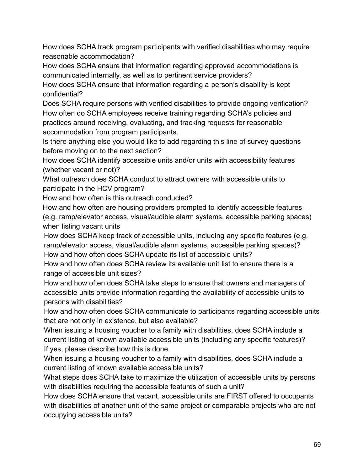How does SCHA track program participants with verified disabilities who may require reasonable accommodation?

How does SCHA ensure that information regarding approved accommodations is communicated internally, as well as to pertinent service providers?

How does SCHA ensure that information regarding a person's disability is kept confidential?

Does SCHA require persons with verified disabilities to provide ongoing verification? How often do SCHA employees receive training regarding SCHA's policies and practices around receiving, evaluating, and tracking requests for reasonable accommodation from program participants.

Is there anything else you would like to add regarding this line of survey questions before moving on to the next section?

How does SCHA identify accessible units and/or units with accessibility features (whether vacant or not)?

What outreach does SCHA conduct to attract owners with accessible units to participate in the HCV program?

How and how often is this outreach conducted?

How and how often are housing providers prompted to identify accessible features (e.g. ramp/elevator access, visual/audible alarm systems, accessible parking spaces) when listing vacant units

How does SCHA keep track of accessible units, including any specific features (e.g. ramp/elevator access, visual/audible alarm systems, accessible parking spaces)? How and how often does SCHA update its list of accessible units?

How and how often does SCHA review its available unit list to ensure there is a range of accessible unit sizes?

How and how often does SCHA take steps to ensure that owners and managers of accessible units provide information regarding the availability of accessible units to persons with disabilities?

How and how often does SCHA communicate to participants regarding accessible units that are not only in existence, but also available?

When issuing a housing voucher to a family with disabilities, does SCHA include a current listing of known available accessible units (including any specific features)? If yes, please describe how this is done.

When issuing a housing voucher to a family with disabilities, does SCHA include a current listing of known available accessible units?

What steps does SCHA take to maximize the utilization of accessible units by persons with disabilities requiring the accessible features of such a unit?

How does SCHA ensure that vacant, accessible units are FIRST offered to occupants with disabilities of another unit of the same project or comparable projects who are not occupying accessible units?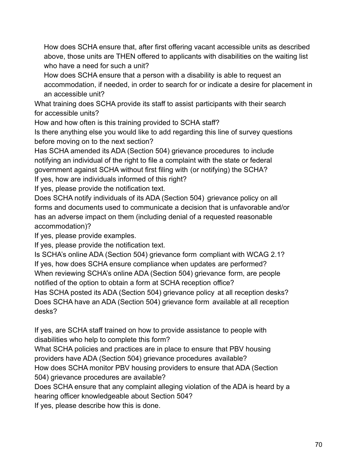How does SCHA ensure that, after first offering vacant accessible units as described above, those units are THEN offered to applicants with disabilities on the waiting list who have a need for such a unit?

How does SCHA ensure that a person with a disability is able to request an accommodation, if needed, in order to search for or indicate a desire for placement in an accessible unit?

What training does SCHA provide its staff to assist participants with their search for accessible units?

How and how often is this training provided to SCHA staff?

Is there anything else you would like to add regarding this line of survey questions before moving on to the next section?

Has SCHA amended its ADA (Section 504) grievance procedures to include notifying an individual of the right to file a complaint with the state or federal government against SCHA without first filing with (or notifying) the SCHA?

If yes, how are individuals informed of this right?

If yes, please provide the notification text.

Does SCHA notify individuals of its ADA (Section 504) grievance policy on all forms and documents used to communicate a decision that is unfavorable and/or has an adverse impact on them (including denial of a requested reasonable accommodation)?

If yes, please provide examples.

If yes, please provide the notification text.

Is SCHA's online ADA (Section 504) grievance form compliant with WCAG 2.1? If yes, how does SCHA ensure compliance when updates are performed? When reviewing SCHA's online ADA (Section 504) grievance form, are people notified of the option to obtain a form at SCHA reception office?

Has SCHA posted its ADA (Section 504) grievance policy at all reception desks? Does SCHA have an ADA (Section 504) grievance form available at all reception desks?

If yes, are SCHA staff trained on how to provide assistance to people with disabilities who help to complete this form?

What SCHA policies and practices are in place to ensure that PBV housing providers have ADA (Section 504) grievance procedures available?

How does SCHA monitor PBV housing providers to ensure that ADA (Section 504) grievance procedures are available?

Does SCHA ensure that any complaint alleging violation of the ADA is heard by a hearing officer knowledgeable about Section 504?

If yes, please describe how this is done.